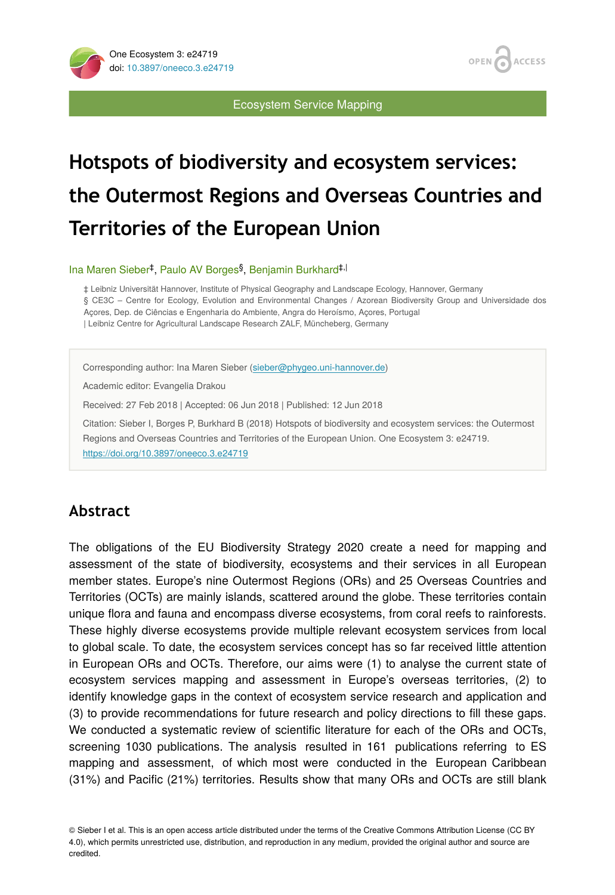



Ecosystem Service Mapping

# **Hotspots of biodiversity and ecosystem services: the Outermost Regions and Overseas Countries and Territories of the European Union**

Ina Maren Sieber<sup>‡</sup>, Paulo AV Borges<sup>§</sup>, Benjamin Burkhard<sup>‡, |</sup>

‡ Leibniz Universität Hannover, Institute of Physical Geography and Landscape Ecology, Hannover, Germany § CE3C – Centre for Ecology, Evolution and Environmental Changes / Azorean Biodiversity Group and Universidade dos Açores, Dep. de Ciências e Engenharia do Ambiente, Angra do Heroísmo, Açores, Portugal | Leibniz Centre for Agricultural Landscape Research ZALF, Müncheberg, Germany

Corresponding author: Ina Maren Sieber [\(sieber@phygeo.uni-hannover.de\)](mailto:sieber@phygeo.uni-hannover.de)

Academic editor: Evangelia Drakou

Received: 27 Feb 2018 | Accepted: 06 Jun 2018 | Published: 12 Jun 2018

Citation: Sieber I, Borges P, Burkhard B (2018) Hotspots of biodiversity and ecosystem services: the Outermost Regions and Overseas Countries and Territories of the European Union. One Ecosystem 3: e24719. <https://doi.org/10.3897/oneeco.3.e24719>

# **Abstract**

The obligations of the EU Biodiversity Strategy 2020 create a need for mapping and assessment of the state of biodiversity, ecosystems and their services in all European member states. Europe's nine Outermost Regions (ORs) and 25 Overseas Countries and Territories (OCTs) are mainly islands, scattered around the globe. These territories contain unique flora and fauna and encompass diverse ecosystems, from coral reefs to rainforests. These highly diverse ecosystems provide multiple relevant ecosystem services from local to global scale. To date, the ecosystem services concept has so far received little attention in European ORs and OCTs. Therefore, our aims were (1) to analyse the current state of ecosystem services mapping and assessment in Europe's overseas territories, (2) to identify knowledge gaps in the context of ecosystem service research and application and (3) to provide recommendations for future research and policy directions to fill these gaps. We conducted a systematic review of scientific literature for each of the ORs and OCTs, screening 1030 publications. The analysis resulted in 161 publications referring to ES mapping and assessment, of which most were conducted in the European Caribbean (31%) and Pacific (21%) territories. Results show that many ORs and OCTs are still blank

© Sieber I et al. This is an open access article distributed under the terms of the Creative Commons Attribution License (CC BY 4.0), which permits unrestricted use, distribution, and reproduction in any medium, provided the original author and source are credited.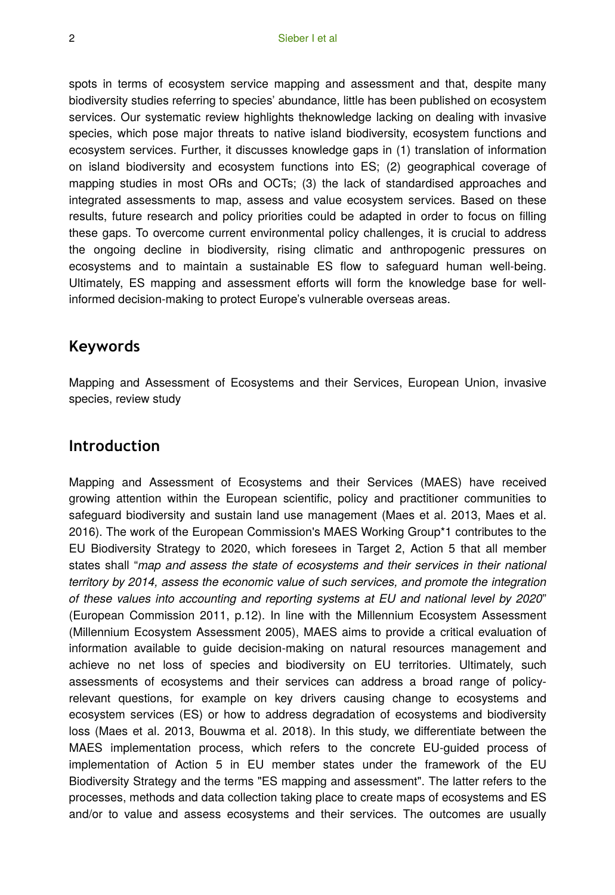spots in terms of ecosystem service mapping and assessment and that, despite many biodiversity studies referring to species' abundance, little has been published on ecosystem services. Our systematic review highlights theknowledge lacking on dealing with invasive species, which pose major threats to native island biodiversity, ecosystem functions and ecosystem services. Further, it discusses knowledge gaps in (1) translation of information on island biodiversity and ecosystem functions into ES; (2) geographical coverage of mapping studies in most ORs and OCTs; (3) the lack of standardised approaches and integrated assessments to map, assess and value ecosystem services. Based on these results, future research and policy priorities could be adapted in order to focus on filling these gaps. To overcome current environmental policy challenges, it is crucial to address the ongoing decline in biodiversity, rising climatic and anthropogenic pressures on ecosystems and to maintain a sustainable ES flow to safeguard human well-being. Ultimately, ES mapping and assessment efforts will form the knowledge base for wellinformed decision-making to protect Europe's vulnerable overseas areas.

# **Keywords**

Mapping and Assessment of Ecosystems and their Services, European Union, invasive species, review study

# **Introduction**

Mapping and Assessment of Ecosystems and their Services (MAES) have received growing attention within the European scientific, policy and practitioner communities to safeguard biodiversity and sustain land use management (Maes et al. 2013, Maes et al. 2016). The work of the European Commission's MAES Working Group\*1 contributes to the EU Biodiversity Strategy to 2020, which foresees in Target 2, Action 5 that all member states shall "*map and assess the state of ecosystems and their services in their national territory by 2014, assess the economic value of such services, and promote the integration of these values into accounting and reporting systems at EU and national level by 2020*" (European Commission 2011, p.12). In line with the Millennium Ecosystem Assessment (Millennium Ecosystem Assessment 2005), MAES aims to provide a critical evaluation of information available to guide decision-making on natural resources management and achieve no net loss of species and biodiversity on EU territories. Ultimately, such assessments of ecosystems and their services can address a broad range of policyrelevant questions, for example on key drivers causing change to ecosystems and ecosystem services (ES) or how to address degradation of ecosystems and biodiversity loss (Maes et al. 2013, Bouwma et al. 2018). In this study, we differentiate between the MAES implementation process, which refers to the concrete EU-guided process of implementation of Action 5 in EU member states under the framework of the EU Biodiversity Strategy and the terms "ES mapping and assessment". The latter refers to the processes, methods and data collection taking place to create maps of ecosystems and ES and/or to value and assess ecosystems and their services. The outcomes are usually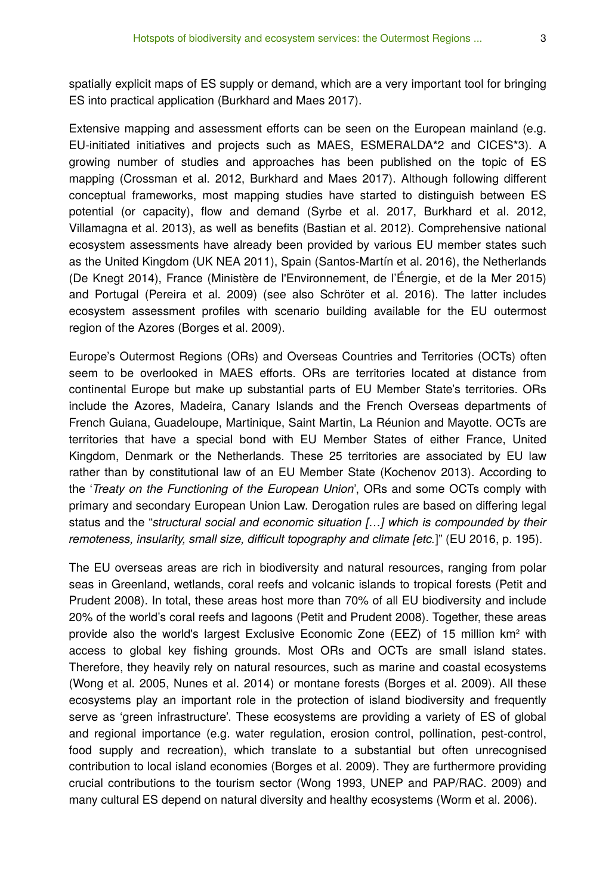spatially explicit maps of ES supply or demand, which are a very important tool for bringing ES into practical application (Burkhard and Maes 2017).

Extensive mapping and assessment efforts can be seen on the European mainland (e.g. EU-initiated initiatives and projects such as MAES, ESMERALDA\*2 and CICES\*3). A growing number of studies and approaches has been published on the topic of ES mapping (Crossman et al. 2012, Burkhard and Maes 2017). Although following different conceptual frameworks, most mapping studies have started to distinguish between ES potential (or capacity), flow and demand (Syrbe et al. 2017, Burkhard et al. 2012, Villamagna et al. 2013), as well as benefits (Bastian et al. 2012). Comprehensive national ecosystem assessments have already been provided by various EU member states such as the United Kingdom (UK NEA 2011), Spain (Santos-Martín et al. 2016), the Netherlands (De Knegt 2014), France (Ministère de l'Environnement, de l'Énergie, et de la Mer 2015) and Portugal (Pereira et al. 2009) (see also Schröter et al. 2016). The latter includes ecosystem assessment profiles with scenario building available for the EU outermost region of the Azores (Borges et al. 2009).

Europe's Outermost Regions (ORs) and Overseas Countries and Territories (OCTs) often seem to be overlooked in MAES efforts. ORs are territories located at distance from continental Europe but make up substantial parts of EU Member State's territories. ORs include the Azores, Madeira, Canary Islands and the French Overseas departments of French Guiana, Guadeloupe, Martinique, Saint Martin, La Réunion and Mayotte. OCTs are territories that have a special bond with EU Member States of either France, United Kingdom, Denmark or the Netherlands. These 25 territories are associated by EU law rather than by constitutional law of an EU Member State (Kochenov 2013). According to the '*Treaty on the Functioning of the European Union*', ORs and some OCTs comply with primary and secondary European Union Law. Derogation rules are based on differing legal status and the "*structural social and economic situation […] which is compounded by their remoteness, insularity, small size, difficult topography and climate [etc.*]" (EU 2016, p. 195).

The EU overseas areas are rich in biodiversity and natural resources, ranging from polar seas in Greenland, wetlands, coral reefs and volcanic islands to tropical forests (Petit and Prudent 2008). In total, these areas host more than 70% of all EU biodiversity and include 20% of the world's coral reefs and lagoons (Petit and Prudent 2008). Together, these areas provide also the world's largest Exclusive Economic Zone (EEZ) of 15 million km² with access to global key fishing grounds. Most ORs and OCTs are small island states. Therefore, they heavily rely on natural resources, such as marine and coastal ecosystems (Wong et al. 2005, Nunes et al. 2014) or montane forests (Borges et al. 2009). All these ecosystems play an important role in the protection of island biodiversity and frequently serve as 'green infrastructure'. These ecosystems are providing a variety of ES of global and regional importance (e.g. water regulation, erosion control, pollination, pest-control, food supply and recreation), which translate to a substantial but often unrecognised contribution to local island economies (Borges et al. 2009). They are furthermore providing crucial contributions to the tourism sector (Wong 1993, UNEP and PAP/RAC. 2009) and many cultural ES depend on natural diversity and healthy ecosystems (Worm et al. 2006).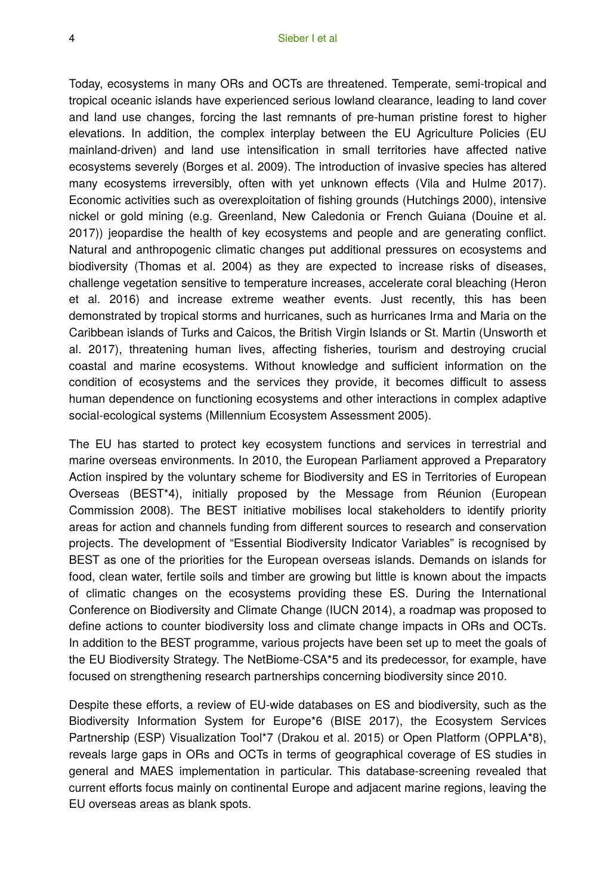Today, ecosystems in many ORs and OCTs are threatened. Temperate, semi-tropical and tropical oceanic islands have experienced serious lowland clearance, leading to land cover and land use changes, forcing the last remnants of pre-human pristine forest to higher elevations. In addition, the complex interplay between the EU Agriculture Policies (EU mainland-driven) and land use intensification in small territories have affected native ecosystems severely (Borges et al. 2009). The introduction of invasive species has altered many ecosystems irreversibly, often with yet unknown effects (Vila and Hulme 2017). Economic activities such as overexploitation of fishing grounds (Hutchings 2000), intensive nickel or gold mining (e.g. Greenland, New Caledonia or French Guiana (Douine et al. 2017)) jeopardise the health of key ecosystems and people and are generating conflict. Natural and anthropogenic climatic changes put additional pressures on ecosystems and biodiversity (Thomas et al. 2004) as they are expected to increase risks of diseases, challenge vegetation sensitive to temperature increases, accelerate coral bleaching (Heron et al. 2016) and increase extreme weather events. Just recently, this has been demonstrated by tropical storms and hurricanes, such as hurricanes Irma and Maria on the Caribbean islands of Turks and Caicos, the British Virgin Islands or St. Martin (Unsworth et al. 2017), threatening human lives, affecting fisheries, tourism and destroying crucial coastal and marine ecosystems. Without knowledge and sufficient information on the condition of ecosystems and the services they provide, it becomes difficult to assess human dependence on functioning ecosystems and other interactions in complex adaptive social-ecological systems (Millennium Ecosystem Assessment 2005).

The EU has started to protect key ecosystem functions and services in terrestrial and marine overseas environments. In 2010, the European Parliament approved a Preparatory Action inspired by the voluntary scheme for Biodiversity and ES in Territories of European Overseas (BEST\*4), initially proposed by the Message from Réunion (European Commission 2008). The BEST initiative mobilises local stakeholders to identify priority areas for action and channels funding from different sources to research and conservation projects. The development of "Essential Biodiversity Indicator Variables" is recognised by BEST as one of the priorities for the European overseas islands. Demands on islands for food, clean water, fertile soils and timber are growing but little is known about the impacts of climatic changes on the ecosystems providing these ES. During the International Conference on Biodiversity and Climate Change (IUCN 2014), a roadmap was proposed to define actions to counter biodiversity loss and climate change impacts in ORs and OCTs. In addition to the BEST programme, various projects have been set up to meet the goals of the EU Biodiversity Strategy. The NetBiome-CSA\*5 and its predecessor, for example, have focused on strengthening research partnerships concerning biodiversity since 2010.

Despite these efforts, a review of EU-wide databases on ES and biodiversity, such as the Biodiversity Information System for Europe\*6 (BISE 2017), the Ecosystem Services Partnership (ESP) Visualization Tool\*7 (Drakou et al. 2015) or Open Platform (OPPLA\*8), reveals large gaps in ORs and OCTs in terms of geographical coverage of ES studies in general and MAES implementation in particular. This database-screening revealed that current efforts focus mainly on continental Europe and adjacent marine regions, leaving the EU overseas areas as blank spots.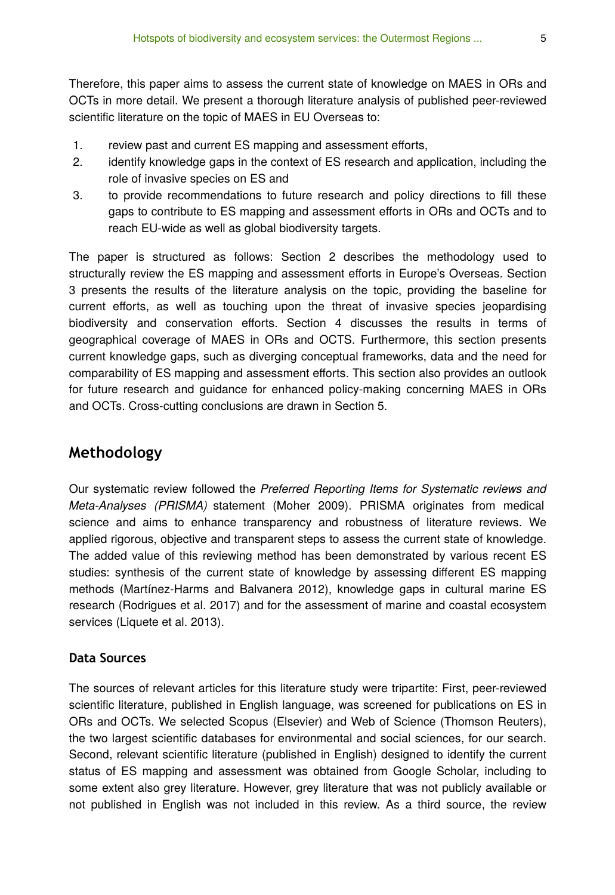Therefore, this paper aims to assess the current state of knowledge on MAES in ORs and OCTs in more detail. We present a thorough literature analysis of published peer-reviewed scientific literature on the topic of MAES in EU Overseas to:

- 1. review past and current ES mapping and assessment efforts,
- 2. identify knowledge gaps in the context of ES research and application, including the role of invasive species on ES and
- 3. to provide recommendations to future research and policy directions to fill these gaps to contribute to ES mapping and assessment efforts in ORs and OCTs and to reach EU-wide as well as global biodiversity targets.

The paper is structured as follows: Section 2 describes the methodology used to structurally review the ES mapping and assessment efforts in Europe's Overseas. Section 3 presents the results of the literature analysis on the topic, providing the baseline for current efforts, as well as touching upon the threat of invasive species jeopardising biodiversity and conservation efforts. Section 4 discusses the results in terms of geographical coverage of MAES in ORs and OCTS. Furthermore, this section presents current knowledge gaps, such as diverging conceptual frameworks, data and the need for comparability of ES mapping and assessment efforts. This section also provides an outlook for future research and guidance for enhanced policy-making concerning MAES in ORs and OCTs. Cross-cutting conclusions are drawn in Section 5.

# **Methodology**

Our systematic review followed the *Preferred Reporting Items for Systematic reviews and Meta-Analyses (PRISMA)* statement (Moher 2009). PRISMA originates from medical science and aims to enhance transparency and robustness of literature reviews. We applied rigorous, objective and transparent steps to assess the current state of knowledge. The added value of this reviewing method has been demonstrated by various recent ES studies: synthesis of the current state of knowledge by assessing different ES mapping methods (Martínez-Harms and Balvanera 2012), knowledge gaps in cultural marine ES research (Rodrigues et al. 2017) and for the assessment of marine and coastal ecosystem services (Liquete et al. 2013).

### **Data Sources**

The sources of relevant articles for this literature study were tripartite: First, peer-reviewed scientific literature, published in English language, was screened for publications on ES in ORs and OCTs. We selected Scopus (Elsevier) and Web of Science (Thomson Reuters), the two largest scientific databases for environmental and social sciences, for our search. Second, relevant scientific literature (published in English) designed to identify the current status of ES mapping and assessment was obtained from Google Scholar, including to some extent also grey literature. However, grey literature that was not publicly available or not published in English was not included in this review. As a third source, the review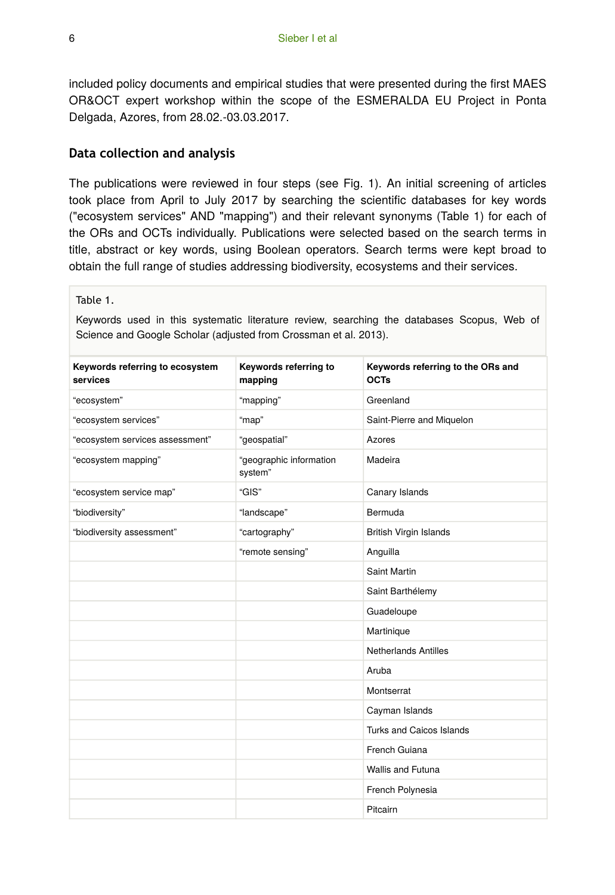included policy documents and empirical studies that were presented during the first MAES OR&OCT expert workshop within the scope of the ESMERALDA EU Project in Ponta Delgada, Azores, from 28.02.-03.03.2017.

### **Data collection and analysis**

The publications were reviewed in four steps (see Fig. 1). An initial screening of articles took place from April to July 2017 by searching the scientific databases for key words ("ecosystem services" AND "mapping") and their relevant synonyms (Table 1) for each of the ORs and OCTs individually. Publications were selected based on the search terms in title, abstract or key words, using Boolean operators. Search terms were kept broad to obtain the full range of studies addressing biodiversity, ecosystems and their services.

Table 1.

Keywords used in this systematic literature review, searching the databases Scopus, Web of Science and Google Scholar (adjusted from Crossman et al. 2013).

| Keywords referring to ecosystem<br>services | Keywords referring to<br>mapping   | Keywords referring to the ORs and<br><b>OCTs</b> |
|---------------------------------------------|------------------------------------|--------------------------------------------------|
| "ecosystem"                                 | "mapping"                          | Greenland                                        |
| "ecosystem services"                        | "map"                              | Saint-Pierre and Miquelon                        |
| "ecosystem services assessment"             | "geospatial"                       | Azores                                           |
| "ecosystem mapping"                         | "geographic information<br>system" | Madeira                                          |
| "ecosystem service map"                     | "GIS"                              | Canary Islands                                   |
| "biodiversity"                              | "landscape"                        | Bermuda                                          |
| "biodiversity assessment"                   | "cartography"                      | <b>British Virgin Islands</b>                    |
|                                             | "remote sensing"                   | Anguilla                                         |
|                                             |                                    | Saint Martin                                     |
|                                             |                                    | Saint Barthélemy                                 |
|                                             |                                    | Guadeloupe                                       |
|                                             |                                    | Martinique                                       |
|                                             |                                    | <b>Netherlands Antilles</b>                      |
|                                             |                                    | Aruba                                            |
|                                             |                                    | Montserrat                                       |
|                                             |                                    | Cayman Islands                                   |
|                                             |                                    | Turks and Caicos Islands                         |
|                                             |                                    | French Guiana                                    |
|                                             |                                    | <b>Wallis and Futuna</b>                         |
|                                             |                                    | French Polynesia                                 |
|                                             |                                    | Pitcairn                                         |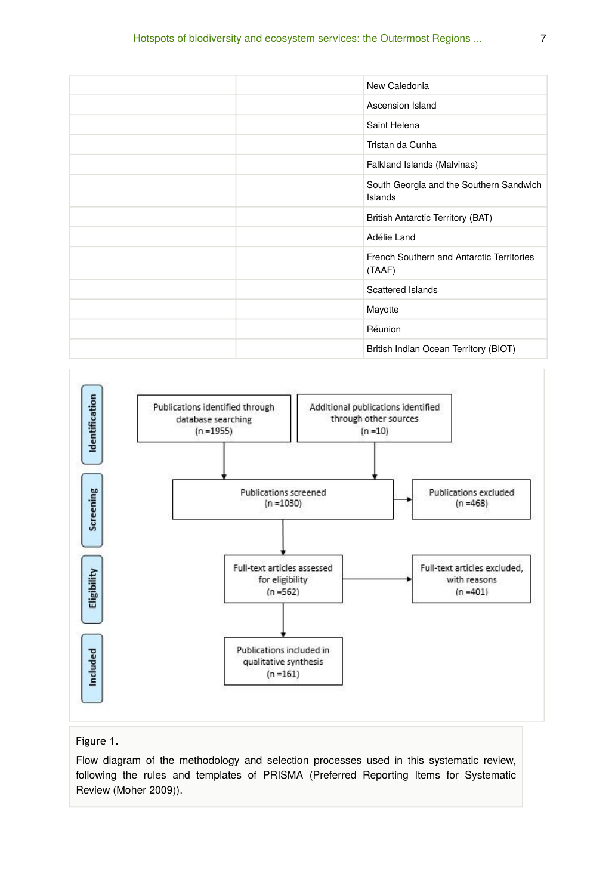| New Caledonia                                       |
|-----------------------------------------------------|
| Ascension Island                                    |
| Saint Helena                                        |
| Tristan da Cunha                                    |
| Falkland Islands (Malvinas)                         |
| South Georgia and the Southern Sandwich<br>Islands  |
| British Antarctic Territory (BAT)                   |
| Adélie Land                                         |
| French Southern and Antarctic Territories<br>(TAAF) |
| Scattered Islands                                   |
| Mayotte                                             |
| Réunion                                             |
| British Indian Ocean Territory (BIOT)               |



#### Figure 1.

Flow diagram of the methodology and selection processes used in this systematic review, following the rules and templates of PRISMA (Preferred Reporting Items for Systematic Review (Moher 2009)).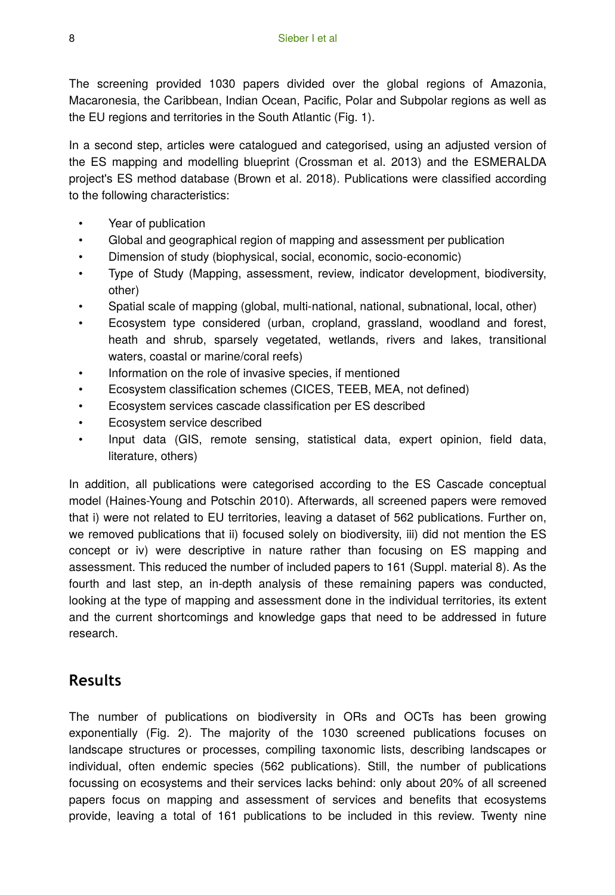The screening provided 1030 papers divided over the global regions of Amazonia, Macaronesia, the Caribbean, Indian Ocean, Pacific, Polar and Subpolar regions as well as the EU regions and territories in the South Atlantic (Fig. 1).

In a second step, articles were catalogued and categorised, using an adjusted version of the ES mapping and modelling blueprint (Crossman et al. 2013) and the ESMERALDA project's ES method database (Brown et al. 2018). Publications were classified according to the following characteristics:

- Year of publication
- Global and geographical region of mapping and assessment per publication
- Dimension of study (biophysical, social, economic, socio-economic)
- Type of Study (Mapping, assessment, review, indicator development, biodiversity, other)
- Spatial scale of mapping (global, multi-national, national, subnational, local, other)
- Ecosystem type considered (urban, cropland, grassland, woodland and forest, heath and shrub, sparsely vegetated, wetlands, rivers and lakes, transitional waters, coastal or marine/coral reefs)
- Information on the role of invasive species, if mentioned
- Ecosystem classification schemes (CICES, TEEB, MEA, not defined)
- Ecosystem services cascade classification per ES described
- Ecosystem service described
- Input data (GIS, remote sensing, statistical data, expert opinion, field data, literature, others)

In addition, all publications were categorised according to the ES Cascade conceptual model (Haines-Young and Potschin 2010). Afterwards, all screened papers were removed that i) were not related to EU territories, leaving a dataset of 562 publications. Further on, we removed publications that ii) focused solely on biodiversity, iii) did not mention the ES concept or iv) were descriptive in nature rather than focusing on ES mapping and assessment. This reduced the number of included papers to 161 (Suppl. material 8). As the fourth and last step, an in-depth analysis of these remaining papers was conducted, looking at the type of mapping and assessment done in the individual territories, its extent and the current shortcomings and knowledge gaps that need to be addressed in future research.

# **Results**

The number of publications on biodiversity in ORs and OCTs has been growing exponentially (Fig. 2). The majority of the 1030 screened publications focuses on landscape structures or processes, compiling taxonomic lists, describing landscapes or individual, often endemic species (562 publications). Still, the number of publications focussing on ecosystems and their services lacks behind: only about 20% of all screened papers focus on mapping and assessment of services and benefits that ecosystems provide, leaving a total of 161 publications to be included in this review. Twenty nine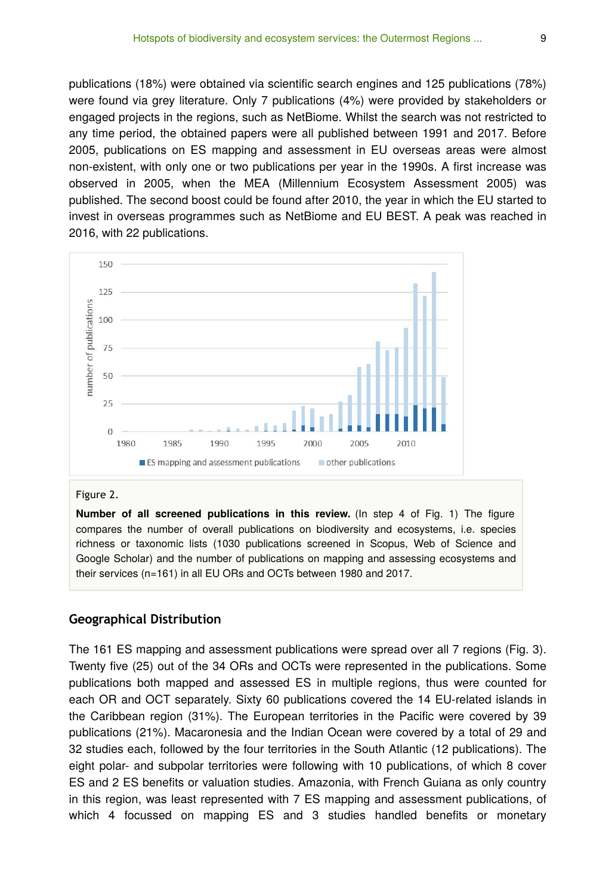publications (18%) were obtained via scientific search engines and 125 publications (78%) were found via grey literature. Only 7 publications (4%) were provided by stakeholders or engaged projects in the regions, such as NetBiome. Whilst the search was not restricted to any time period, the obtained papers were all published between 1991 and 2017. Before 2005, publications on ES mapping and assessment in EU overseas areas were almost non-existent, with only one or two publications per year in the 1990s. A first increase was observed in 2005, when the MEA (Millennium Ecosystem Assessment 2005) was published. The second boost could be found after 2010, the year in which the EU started to invest in overseas programmes such as NetBiome and EU BEST. A peak was reached in 2016, with 22 publications.



#### Figure 2.

**Number of all screened publications in this review.** (In step 4 of Fig. 1) The figure compares the number of overall publications on biodiversity and ecosystems, i.e. species richness or taxonomic lists (1030 publications screened in Scopus, Web of Science and Google Scholar) and the number of publications on mapping and assessing ecosystems and their services (n=161) in all EU ORs and OCTs between 1980 and 2017.

#### **Geographical Distribution**

The 161 ES mapping and assessment publications were spread over all 7 regions (Fig. 3). Twenty five (25) out of the 34 ORs and OCTs were represented in the publications. Some publications both mapped and assessed ES in multiple regions, thus were counted for each OR and OCT separately. Sixty 60 publications covered the 14 EU-related islands in the Caribbean region (31%). The European territories in the Pacific were covered by 39 publications (21%). Macaronesia and the Indian Ocean were covered by a total of 29 and 32 studies each, followed by the four territories in the South Atlantic (12 publications). The eight polar- and subpolar territories were following with 10 publications, of which 8 cover ES and 2 ES benefits or valuation studies. Amazonia, with French Guiana as only country in this region, was least represented with 7 ES mapping and assessment publications, of which 4 focussed on mapping ES and 3 studies handled benefits or monetary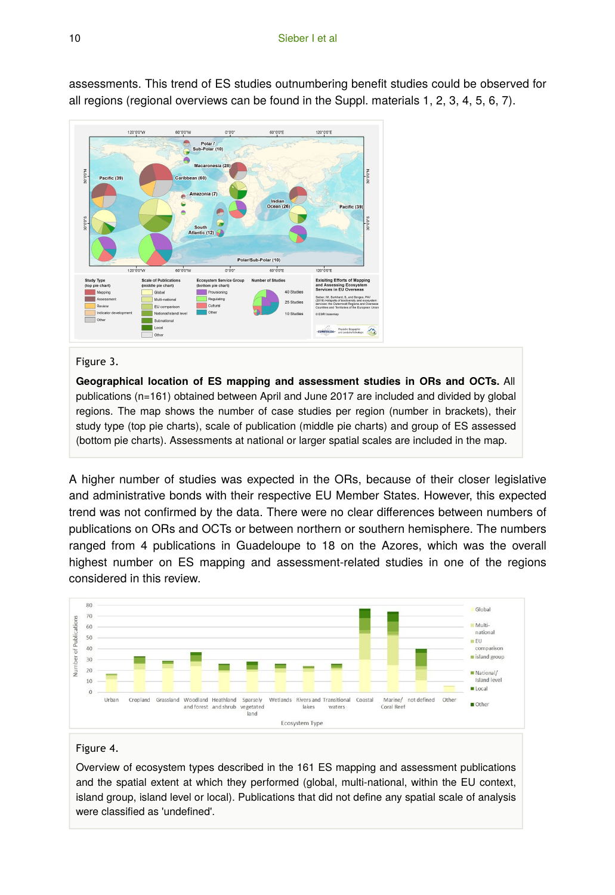

assessments. This trend of ES studies outnumbering benefit studies could be observed for all regions (regional overviews can be found in the Suppl. materials 1, 2, 3, 4, 5, 6, 7).

#### Figure 3.

**Geographical location of ES mapping and assessment studies in ORs and OCTs.** All publications (n=161) obtained between April and June 2017 are included and divided by global regions. The map shows the number of case studies per region (number in brackets), their study type (top pie charts), scale of publication (middle pie charts) and group of ES assessed (bottom pie charts). Assessments at national or larger spatial scales are included in the map.

A higher number of studies was expected in the ORs, because of their closer legislative and administrative bonds with their respective EU Member States. However, this expected trend was not confirmed by the data. There were no clear differences between numbers of publications on ORs and OCTs or between northern or southern hemisphere. The numbers ranged from 4 publications in Guadeloupe to 18 on the Azores, which was the overall highest number on ES mapping and assessment-related studies in one of the regions considered in this review.



#### Figure 4.

Overview of ecosystem types described in the 161 ES mapping and assessment publications and the spatial extent at which they performed (global, multi-national, within the EU context, island group, island level or local). Publications that did not define any spatial scale of analysis were classified as 'undefined'.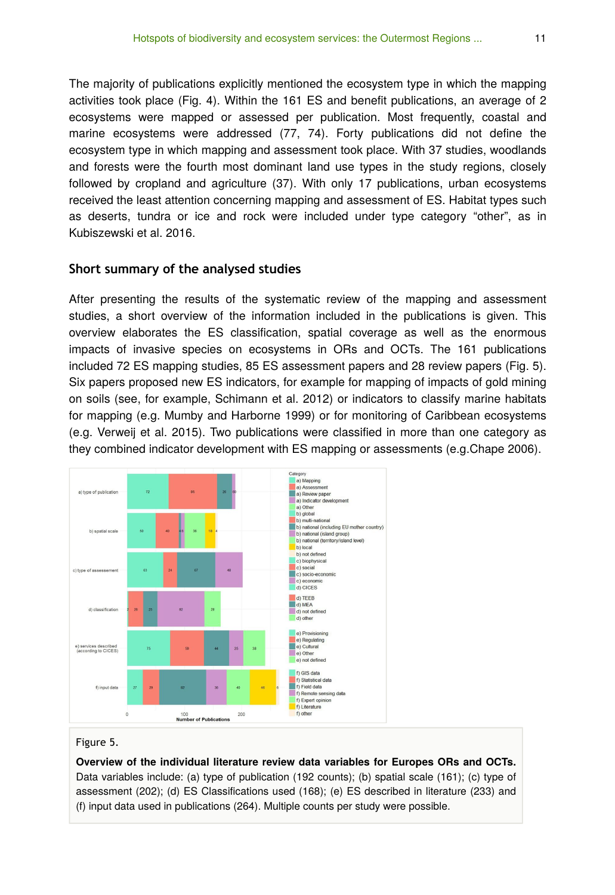The majority of publications explicitly mentioned the ecosystem type in which the mapping activities took place (Fig. 4). Within the 161 ES and benefit publications, an average of 2 ecosystems were mapped or assessed per publication. Most frequently, coastal and marine ecosystems were addressed (77, 74). Forty publications did not define the ecosystem type in which mapping and assessment took place. With 37 studies, woodlands and forests were the fourth most dominant land use types in the study regions, closely followed by cropland and agriculture (37). With only 17 publications, urban ecosystems received the least attention concerning mapping and assessment of ES. Habitat types such as deserts, tundra or ice and rock were included under type category "other", as in Kubiszewski et al. 2016.

#### **Short summary of the analysed studies**

After presenting the results of the systematic review of the mapping and assessment studies, a short overview of the information included in the publications is given. This overview elaborates the ES classification, spatial coverage as well as the enormous impacts of invasive species on ecosystems in ORs and OCTs. The 161 publications included 72 ES mapping studies, 85 ES assessment papers and 28 review papers (Fig. 5). Six papers proposed new ES indicators, for example for mapping of impacts of gold mining on soils (see, for example, Schimann et al. 2012) or indicators to classify marine habitats for mapping (e.g. Mumby and Harborne 1999) or for monitoring of Caribbean ecosystems (e.g. Verweij et al. 2015). Two publications were classified in more than one category as they combined indicator development with ES mapping or assessments (e.g.Chape 2006).



#### Figure 5.

**Overview of the individual literature review data variables for Europes ORs and OCTs.** Data variables include: (a) type of publication (192 counts); (b) spatial scale (161); (c) type of assessment (202); (d) ES Classifications used (168); (e) ES described in literature (233) and (f) input data used in publications (264). Multiple counts per study were possible.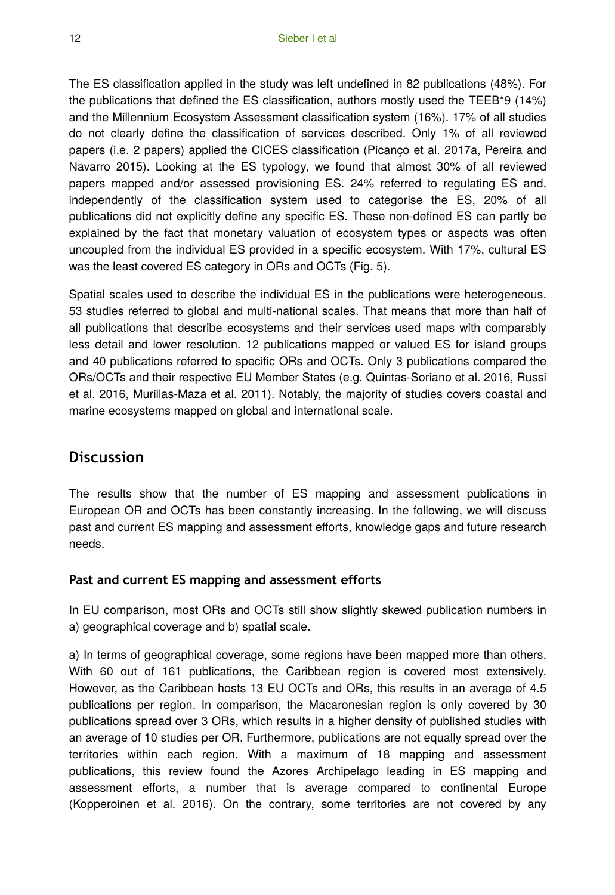The ES classification applied in the study was left undefined in 82 publications (48%). For the publications that defined the ES classification, authors mostly used the TEEB\*9 (14%) and the Millennium Ecosystem Assessment classification system (16%). 17% of all studies do not clearly define the classification of services described. Only 1% of all reviewed papers (i.e. 2 papers) applied the CICES classification (Picanço et al. 2017a, Pereira and Navarro 2015). Looking at the ES typology, we found that almost 30% of all reviewed papers mapped and/or assessed provisioning ES. 24% referred to regulating ES and, independently of the classification system used to categorise the ES, 20% of all publications did not explicitly define any specific ES. These non-defined ES can partly be explained by the fact that monetary valuation of ecosystem types or aspects was often uncoupled from the individual ES provided in a specific ecosystem. With 17%, cultural ES was the least covered ES category in ORs and OCTs (Fig. 5).

Spatial scales used to describe the individual ES in the publications were heterogeneous. 53 studies referred to global and multi-national scales. That means that more than half of all publications that describe ecosystems and their services used maps with comparably less detail and lower resolution. 12 publications mapped or valued ES for island groups and 40 publications referred to specific ORs and OCTs. Only 3 publications compared the ORs/OCTs and their respective EU Member States (e.g. Quintas-Soriano et al. 2016, Russi et al. 2016, Murillas-Maza et al. 2011). Notably, the majority of studies covers coastal and marine ecosystems mapped on global and international scale.

# **Discussion**

The results show that the number of ES mapping and assessment publications in European OR and OCTs has been constantly increasing. In the following, we will discuss past and current ES mapping and assessment efforts, knowledge gaps and future research needs.

### **Past and current ES mapping and assessment efforts**

In EU comparison, most ORs and OCTs still show slightly skewed publication numbers in a) geographical coverage and b) spatial scale.

a) In terms of geographical coverage, some regions have been mapped more than others. With 60 out of 161 publications, the Caribbean region is covered most extensively. However, as the Caribbean hosts 13 EU OCTs and ORs, this results in an average of 4.5 publications per region. In comparison, the Macaronesian region is only covered by 30 publications spread over 3 ORs, which results in a higher density of published studies with an average of 10 studies per OR. Furthermore, publications are not equally spread over the territories within each region. With a maximum of 18 mapping and assessment publications, this review found the Azores Archipelago leading in ES mapping and assessment efforts, a number that is average compared to continental Europe (Kopperoinen et al. 2016). On the contrary, some territories are not covered by any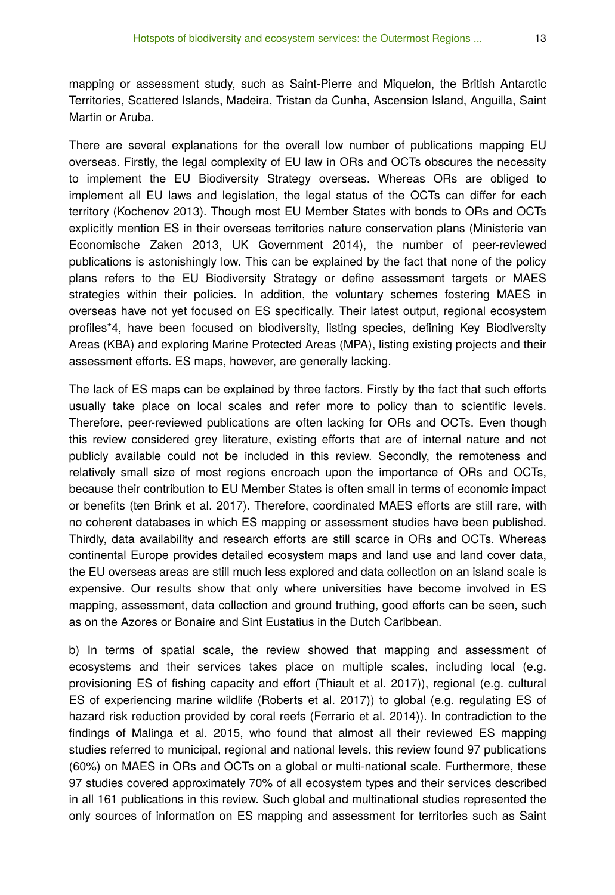mapping or assessment study, such as Saint-Pierre and Miquelon, the British Antarctic Territories, Scattered Islands, Madeira, Tristan da Cunha, Ascension Island, Anguilla, Saint Martin or Aruba.

There are several explanations for the overall low number of publications mapping EU overseas. Firstly, the legal complexity of EU law in ORs and OCTs obscures the necessity to implement the EU Biodiversity Strategy overseas. Whereas ORs are obliged to implement all EU laws and legislation, the legal status of the OCTs can differ for each territory (Kochenov 2013). Though most EU Member States with bonds to ORs and OCTs explicitly mention ES in their overseas territories nature conservation plans (Ministerie van Economische Zaken 2013, UK Government 2014), the number of peer-reviewed publications is astonishingly low. This can be explained by the fact that none of the policy plans refers to the EU Biodiversity Strategy or define assessment targets or MAES strategies within their policies. In addition, the voluntary schemes fostering MAES in overseas have not yet focused on ES specifically. Their latest output, regional ecosystem profiles\*4, have been focused on biodiversity, listing species, defining Key Biodiversity Areas (KBA) and exploring Marine Protected Areas (MPA), listing existing projects and their assessment efforts. ES maps, however, are generally lacking.

The lack of ES maps can be explained by three factors. Firstly by the fact that such efforts usually take place on local scales and refer more to policy than to scientific levels. Therefore, peer-reviewed publications are often lacking for ORs and OCTs. Even though this review considered grey literature, existing efforts that are of internal nature and not publicly available could not be included in this review. Secondly, the remoteness and relatively small size of most regions encroach upon the importance of ORs and OCTs, because their contribution to EU Member States is often small in terms of economic impact or benefits (ten Brink et al. 2017). Therefore, coordinated MAES efforts are still rare, with no coherent databases in which ES mapping or assessment studies have been published. Thirdly, data availability and research efforts are still scarce in ORs and OCTs. Whereas continental Europe provides detailed ecosystem maps and land use and land cover data, the EU overseas areas are still much less explored and data collection on an island scale is expensive. Our results show that only where universities have become involved in ES mapping, assessment, data collection and ground truthing, good efforts can be seen, such as on the Azores or Bonaire and Sint Eustatius in the Dutch Caribbean.

b) In terms of spatial scale, the review showed that mapping and assessment of ecosystems and their services takes place on multiple scales, including local (e.g. provisioning ES of fishing capacity and effort (Thiault et al. 2017)), regional (e.g. cultural ES of experiencing marine wildlife (Roberts et al. 2017)) to global (e.g. regulating ES of hazard risk reduction provided by coral reefs (Ferrario et al. 2014)). In contradiction to the findings of Malinga et al. 2015, who found that almost all their reviewed ES mapping studies referred to municipal, regional and national levels, this review found 97 publications (60%) on MAES in ORs and OCTs on a global or multi-national scale. Furthermore, these 97 studies covered approximately 70% of all ecosystem types and their services described in all 161 publications in this review. Such global and multinational studies represented the only sources of information on ES mapping and assessment for territories such as Saint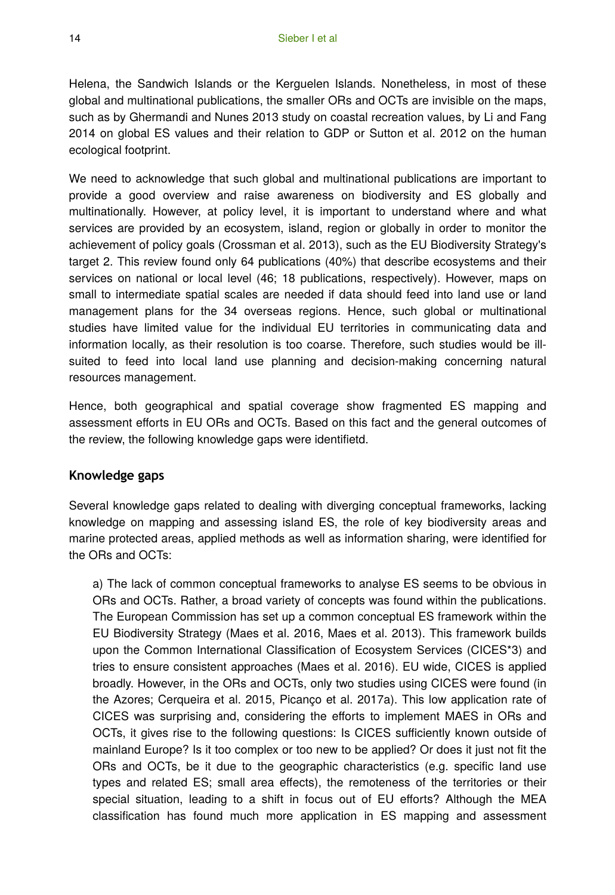Helena, the Sandwich Islands or the Kerguelen Islands. Nonetheless, in most of these global and multinational publications, the smaller ORs and OCTs are invisible on the maps, such as by Ghermandi and Nunes 2013 study on coastal recreation values, by Li and Fang 2014 on global ES values and their relation to GDP or Sutton et al. 2012 on the human ecological footprint.

We need to acknowledge that such global and multinational publications are important to provide a good overview and raise awareness on biodiversity and ES globally and multinationally. However, at policy level, it is important to understand where and what services are provided by an ecosystem, island, region or globally in order to monitor the achievement of policy goals (Crossman et al. 2013), such as the EU Biodiversity Strategy's target 2. This review found only 64 publications (40%) that describe ecosystems and their services on national or local level (46; 18 publications, respectively). However, maps on small to intermediate spatial scales are needed if data should feed into land use or land management plans for the 34 overseas regions. Hence, such global or multinational studies have limited value for the individual EU territories in communicating data and information locally, as their resolution is too coarse. Therefore, such studies would be illsuited to feed into local land use planning and decision-making concerning natural resources management.

Hence, both geographical and spatial coverage show fragmented ES mapping and assessment efforts in EU ORs and OCTs. Based on this fact and the general outcomes of the review, the following knowledge gaps were identifietd.

#### **Knowledge gaps**

Several knowledge gaps related to dealing with diverging conceptual frameworks, lacking knowledge on mapping and assessing island ES, the role of key biodiversity areas and marine protected areas, applied methods as well as information sharing, were identified for the ORs and OCTs:

a) The lack of common conceptual frameworks to analyse ES seems to be obvious in ORs and OCTs. Rather, a broad variety of concepts was found within the publications. The European Commission has set up a common conceptual ES framework within the EU Biodiversity Strategy (Maes et al. 2016, Maes et al. 2013). This framework builds upon the Common International Classification of Ecosystem Services (CICES\*3) and tries to ensure consistent approaches (Maes et al. 2016). EU wide, CICES is applied broadly. However, in the ORs and OCTs, only two studies using CICES were found (in the Azores; Cerqueira et al. 2015, Picanço et al. 2017a). This low application rate of CICES was surprising and, considering the efforts to implement MAES in ORs and OCTs, it gives rise to the following questions: Is CICES sufficiently known outside of mainland Europe? Is it too complex or too new to be applied? Or does it just not fit the ORs and OCTs, be it due to the geographic characteristics (e.g. specific land use types and related ES; small area effects), the remoteness of the territories or their special situation, leading to a shift in focus out of EU efforts? Although the MEA classification has found much more application in ES mapping and assessment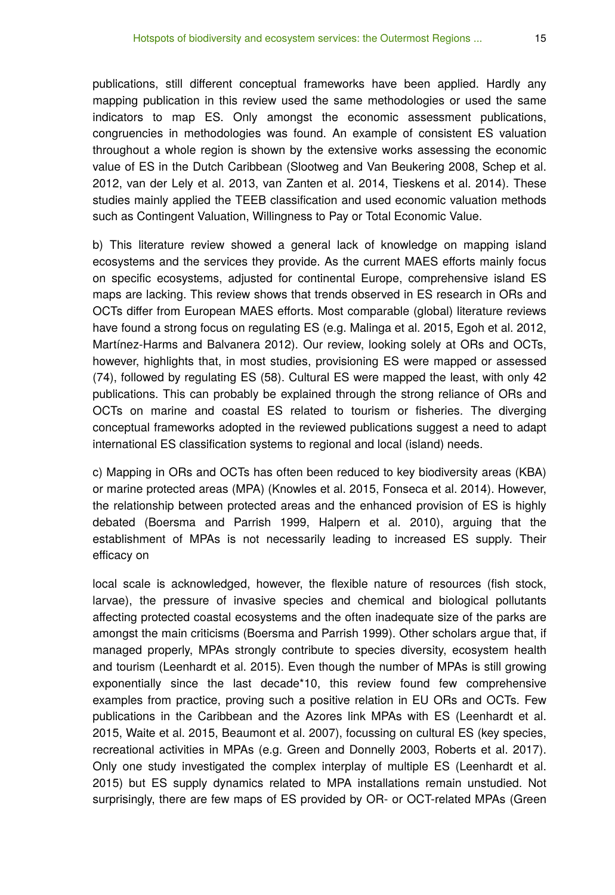publications, still different conceptual frameworks have been applied. Hardly any mapping publication in this review used the same methodologies or used the same indicators to map ES. Only amongst the economic assessment publications, congruencies in methodologies was found. An example of consistent ES valuation throughout a whole region is shown by the extensive works assessing the economic value of ES in the Dutch Caribbean (Slootweg and Van Beukering 2008, Schep et al. 2012, van der Lely et al. 2013, van Zanten et al. 2014, Tieskens et al. 2014). These studies mainly applied the TEEB classification and used economic valuation methods such as Contingent Valuation, Willingness to Pay or Total Economic Value.

b) This literature review showed a general lack of knowledge on mapping island ecosystems and the services they provide. As the current MAES efforts mainly focus on specific ecosystems, adjusted for continental Europe, comprehensive island ES maps are lacking. This review shows that trends observed in ES research in ORs and OCTs differ from European MAES efforts. Most comparable (global) literature reviews have found a strong focus on regulating ES (e.g. Malinga et al. 2015, Egoh et al. 2012, Martínez-Harms and Balvanera 2012). Our review, looking solely at ORs and OCTs, however, highlights that, in most studies, provisioning ES were mapped or assessed (74), followed by regulating ES (58). Cultural ES were mapped the least, with only 42 publications. This can probably be explained through the strong reliance of ORs and OCTs on marine and coastal ES related to tourism or fisheries. The diverging conceptual frameworks adopted in the reviewed publications suggest a need to adapt international ES classification systems to regional and local (island) needs.

c) Mapping in ORs and OCTs has often been reduced to key biodiversity areas (KBA) or marine protected areas (MPA) (Knowles et al. 2015, Fonseca et al. 2014). However, the relationship between protected areas and the enhanced provision of ES is highly debated (Boersma and Parrish 1999, Halpern et al. 2010), arguing that the establishment of MPAs is not necessarily leading to increased ES supply. Their efficacy on

local scale is acknowledged, however, the flexible nature of resources (fish stock, larvae), the pressure of invasive species and chemical and biological pollutants affecting protected coastal ecosystems and the often inadequate size of the parks are amongst the main criticisms (Boersma and Parrish 1999). Other scholars argue that, if managed properly, MPAs strongly contribute to species diversity, ecosystem health and tourism (Leenhardt et al. 2015). Even though the number of MPAs is still growing exponentially since the last decade\*10, this review found few comprehensive examples from practice, proving such a positive relation in EU ORs and OCTs. Few publications in the Caribbean and the Azores link MPAs with ES (Leenhardt et al. 2015, Waite et al. 2015, Beaumont et al. 2007), focussing on cultural ES (key species, recreational activities in MPAs (e.g. Green and Donnelly 2003, Roberts et al. 2017). Only one study investigated the complex interplay of multiple ES (Leenhardt et al. 2015) but ES supply dynamics related to MPA installations remain unstudied. Not surprisingly, there are few maps of ES provided by OR- or OCT-related MPAs (Green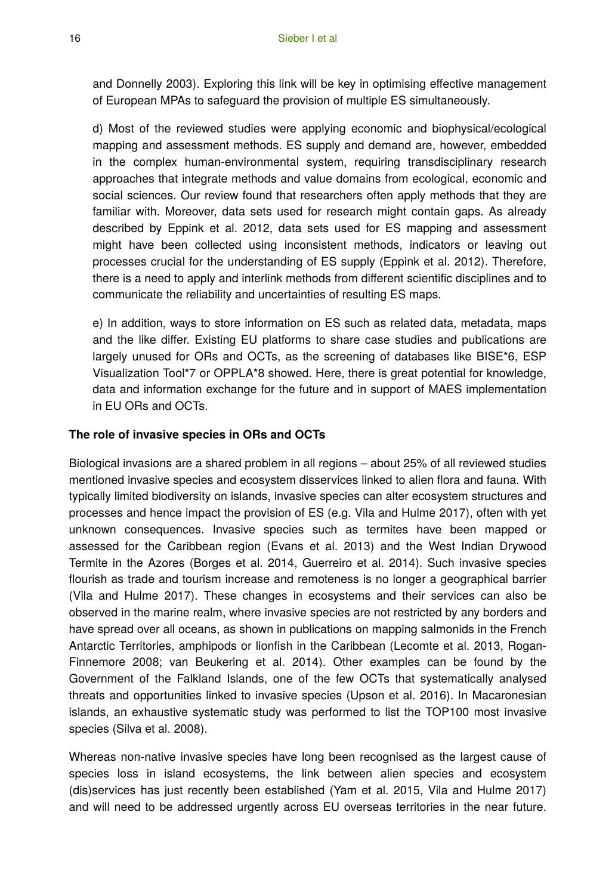and Donnelly 2003). Exploring this link will be key in optimising effective management of European MPAs to safeguard the provision of multiple ES simultaneously.

d) Most of the reviewed studies were applying economic and biophysical/ecological mapping and assessment methods. ES supply and demand are, however, embedded in the complex human-environmental system, requiring transdisciplinary research approaches that integrate methods and value domains from ecological, economic and social sciences. Our review found that researchers often apply methods that they are familiar with. Moreover, data sets used for research might contain gaps. As already described by Eppink et al. 2012, data sets used for ES mapping and assessment might have been collected using inconsistent methods, indicators or leaving out processes crucial for the understanding of ES supply (Eppink et al. 2012). Therefore, there is a need to apply and interlink methods from different scientific disciplines and to communicate the reliability and uncertainties of resulting ES maps.

e) In addition, ways to store information on ES such as related data, metadata, maps and the like differ. Existing EU platforms to share case studies and publications are largely unused for ORs and OCTs, as the screening of databases like BISE\*6, ESP Visualization Tool\*7 or OPPLA\*8 showed. Here, there is great potential for knowledge, data and information exchange for the future and in support of MAES implementation in EU ORs and OCTs.

#### **The role of invasive species in ORs and OCTs**

Biological invasions are a shared problem in all regions – about 25% of all reviewed studies mentioned invasive species and ecosystem disservices linked to alien flora and fauna. With typically limited biodiversity on islands, invasive species can alter ecosystem structures and processes and hence impact the provision of ES (e.g. Vila and Hulme 2017), often with yet unknown consequences. Invasive species such as termites have been mapped or assessed for the Caribbean region (Evans et al. 2013) and the West Indian Drywood Termite in the Azores (Borges et al. 2014, Guerreiro et al. 2014). Such invasive species flourish as trade and tourism increase and remoteness is no longer a geographical barrier (Vila and Hulme 2017). These changes in ecosystems and their services can also be observed in the marine realm, where invasive species are not restricted by any borders and have spread over all oceans, as shown in publications on mapping salmonids in the French Antarctic Territories, amphipods or lionfish in the Caribbean (Lecomte et al. 2013, Rogan-Finnemore 2008; van Beukering et al. 2014). Other examples can be found by the Government of the Falkland Islands, one of the few OCTs that systematically analysed threats and opportunities linked to invasive species (Upson et al. 2016). In Macaronesian islands, an exhaustive systematic study was performed to list the TOP100 most invasive species (Silva et al. 2008).

Whereas non-native invasive species have long been recognised as the largest cause of species loss in island ecosystems, the link between alien species and ecosystem (dis)services has just recently been established (Yam et al. 2015, Vila and Hulme 2017) and will need to be addressed urgently across EU overseas territories in the near future.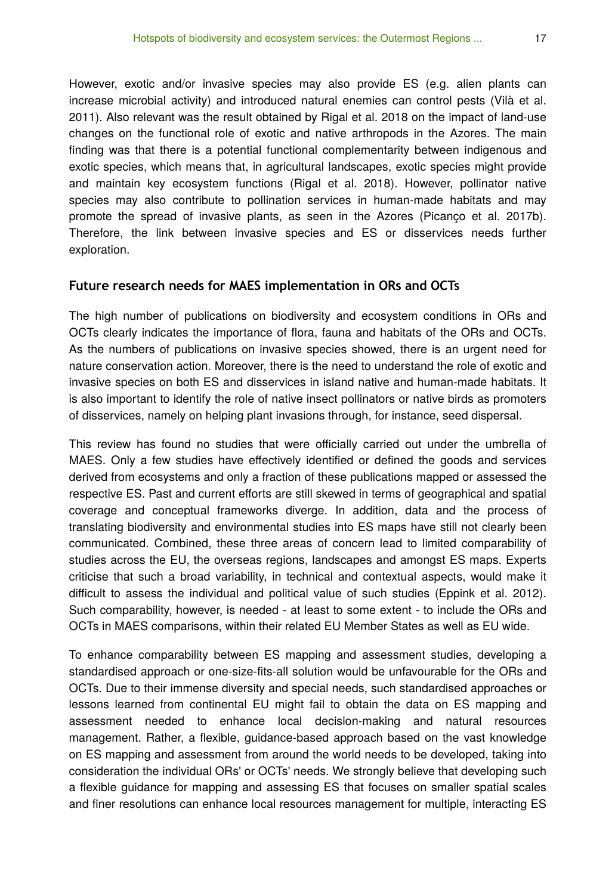However, exotic and/or invasive species may also provide ES (e.g. alien plants can increase microbial activity) and introduced natural enemies can control pests (Vilà et al. 2011). Also relevant was the result obtained by Rigal et al. 2018 on the impact of land-use changes on the functional role of exotic and native arthropods in the Azores. The main finding was that there is a potential functional complementarity between indigenous and exotic species, which means that, in agricultural landscapes, exotic species might provide and maintain key ecosystem functions (Rigal et al. 2018). However, pollinator native species may also contribute to pollination services in human-made habitats and may promote the spread of invasive plants, as seen in the Azores (Picanço et al. 2017b). Therefore, the link between invasive species and ES or disservices needs further exploration.

#### **Future research needs for MAES implementation in ORs and OCTs**

The high number of publications on biodiversity and ecosystem conditions in ORs and OCTs clearly indicates the importance of flora, fauna and habitats of the ORs and OCTs. As the numbers of publications on invasive species showed, there is an urgent need for nature conservation action. Moreover, there is the need to understand the role of exotic and invasive species on both ES and disservices in island native and human-made habitats. It is also important to identify the role of native insect pollinators or native birds as promoters of disservices, namely on helping plant invasions through, for instance, seed dispersal.

This review has found no studies that were officially carried out under the umbrella of MAES. Only a few studies have effectively identified or defined the goods and services derived from ecosystems and only a fraction of these publications mapped or assessed the respective ES. Past and current efforts are still skewed in terms of geographical and spatial coverage and conceptual frameworks diverge. In addition, data and the process of translating biodiversity and environmental studies into ES maps have still not clearly been communicated. Combined, these three areas of concern lead to limited comparability of studies across the EU, the overseas regions, landscapes and amongst ES maps. Experts criticise that such a broad variability, in technical and contextual aspects, would make it difficult to assess the individual and political value of such studies (Eppink et al. 2012). Such comparability, however, is needed - at least to some extent - to include the ORs and OCTs in MAES comparisons, within their related EU Member States as well as EU wide.

To enhance comparability between ES mapping and assessment studies, developing a standardised approach or one-size-fits-all solution would be unfavourable for the ORs and OCTs. Due to their immense diversity and special needs, such standardised approaches or lessons learned from continental EU might fail to obtain the data on ES mapping and assessment needed to enhance local decision-making and natural resources management. Rather, a flexible, guidance-based approach based on the vast knowledge on ES mapping and assessment from around the world needs to be developed, taking into consideration the individual ORs' or OCTs' needs. We strongly believe that developing such a flexible guidance for mapping and assessing ES that focuses on smaller spatial scales and finer resolutions can enhance local resources management for multiple, interacting ES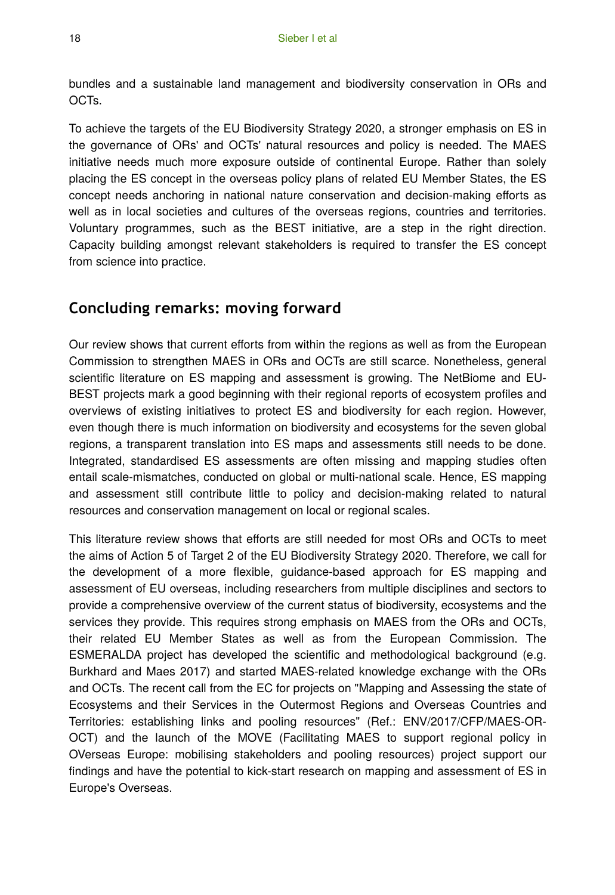bundles and a sustainable land management and biodiversity conservation in ORs and OCTs.

To achieve the targets of the EU Biodiversity Strategy 2020, a stronger emphasis on ES in the governance of ORs' and OCTs' natural resources and policy is needed. The MAES initiative needs much more exposure outside of continental Europe. Rather than solely placing the ES concept in the overseas policy plans of related EU Member States, the ES concept needs anchoring in national nature conservation and decision-making efforts as well as in local societies and cultures of the overseas regions, countries and territories. Voluntary programmes, such as the BEST initiative, are a step in the right direction. Capacity building amongst relevant stakeholders is required to transfer the ES concept from science into practice.

# **Concluding remarks: moving forward**

Our review shows that current efforts from within the regions as well as from the European Commission to strengthen MAES in ORs and OCTs are still scarce. Nonetheless, general scientific literature on ES mapping and assessment is growing. The NetBiome and EU-BEST projects mark a good beginning with their regional reports of ecosystem profiles and overviews of existing initiatives to protect ES and biodiversity for each region. However, even though there is much information on biodiversity and ecosystems for the seven global regions, a transparent translation into ES maps and assessments still needs to be done. Integrated, standardised ES assessments are often missing and mapping studies often entail scale-mismatches, conducted on global or multi-national scale. Hence, ES mapping and assessment still contribute little to policy and decision-making related to natural resources and conservation management on local or regional scales.

This literature review shows that efforts are still needed for most ORs and OCTs to meet the aims of Action 5 of Target 2 of the EU Biodiversity Strategy 2020. Therefore, we call for the development of a more flexible, guidance-based approach for ES mapping and assessment of EU overseas, including researchers from multiple disciplines and sectors to provide a comprehensive overview of the current status of biodiversity, ecosystems and the services they provide. This requires strong emphasis on MAES from the ORs and OCTs, their related EU Member States as well as from the European Commission. The ESMERALDA project has developed the scientific and methodological background (e.g. Burkhard and Maes 2017) and started MAES-related knowledge exchange with the ORs and OCTs. The recent call from the EC for projects on "Mapping and Assessing the state of Ecosystems and their Services in the Outermost Regions and Overseas Countries and Territories: establishing links and pooling resources" (Ref.: ENV/2017/CFP/MAES-OR-OCT) and the launch of the MOVE (Facilitating MAES to support regional policy in OVerseas Europe: mobilising stakeholders and pooling resources) project support our findings and have the potential to kick-start research on mapping and assessment of ES in Europe's Overseas.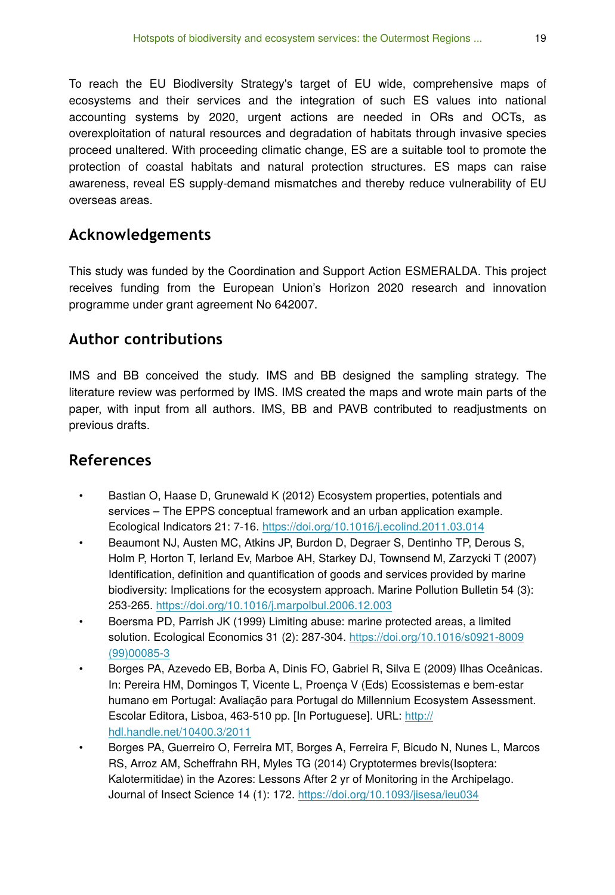To reach the EU Biodiversity Strategy's target of EU wide, comprehensive maps of ecosystems and their services and the integration of such ES values into national accounting systems by 2020, urgent actions are needed in ORs and OCTs, as overexploitation of natural resources and degradation of habitats through invasive species proceed unaltered. With proceeding climatic change, ES are a suitable tool to promote the protection of coastal habitats and natural protection structures. ES maps can raise awareness, reveal ES supply-demand mismatches and thereby reduce vulnerability of EU overseas areas.

# **Acknowledgements**

This study was funded by the Coordination and Support Action ESMERALDA. This project receives funding from the European Union's Horizon 2020 research and innovation programme under grant agreement No 642007.

# **Author contributions**

IMS and BB conceived the study. IMS and BB designed the sampling strategy. The literature review was performed by IMS. IMS created the maps and wrote main parts of the paper, with input from all authors. IMS, BB and PAVB contributed to readjustments on previous drafts.

# **References**

- Bastian O, Haase D, Grunewald K (2012) Ecosystem properties, potentials and services – The EPPS conceptual framework and an urban application example. Ecological Indicators 21: 7‑16.<https://doi.org/10.1016/j.ecolind.2011.03.014>
- Beaumont NJ, Austen MC, Atkins JP, Burdon D, Degraer S, Dentinho TP, Derous S, Holm P, Horton T, Ierland Ev, Marboe AH, Starkey DJ, Townsend M, Zarzycki T (2007) Identification, definition and quantification of goods and services provided by marine biodiversity: Implications for the ecosystem approach. Marine Pollution Bulletin 54 (3): 253‑265. <https://doi.org/10.1016/j.marpolbul.2006.12.003>
- Boersma PD, Parrish JK (1999) Limiting abuse: marine protected areas, a limited solution. Ecological Economics 31 (2): 287‑304. [https://doi.org/10.1016/s0921-8009](https://doi.org/10.1016/s0921-8009(99)00085-3) [\(99\)00085-3](https://doi.org/10.1016/s0921-8009(99)00085-3)
- Borges PA, Azevedo EB, Borba A, Dinis FO, Gabriel R, Silva E (2009) Ilhas Oceânicas. In: Pereira HM, Domingos T, Vicente L, Proença V (Eds) Ecossistemas e bem-estar humano em Portugal: Avaliação para Portugal do Millennium Ecosystem Assessment. Escolar Editora, Lisboa, 463-510 pp. [In Portuguese]. URL: [http://](http://hdl.handle.net/10400.3/2011) [hdl.handle.net/10400.3/2011](http://hdl.handle.net/10400.3/2011)
- Borges PA, Guerreiro O, Ferreira MT, Borges A, Ferreira F, Bicudo N, Nunes L, Marcos RS, Arroz AM, Scheffrahn RH, Myles TG (2014) Cryptotermes brevis(Isoptera: Kalotermitidae) in the Azores: Lessons After 2 yr of Monitoring in the Archipelago. Journal of Insect Science 14 (1): 172. <https://doi.org/10.1093/jisesa/ieu034>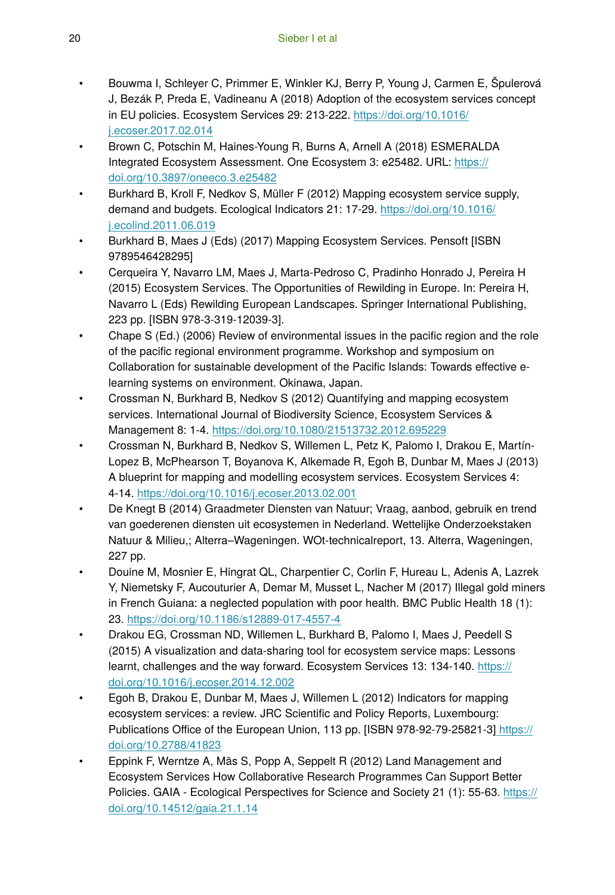- Bouwma I, Schleyer C, Primmer E, Winkler KJ, Berry P, Young J, Carmen E, Špulerová J, Bezák P, Preda E, Vadineanu A (2018) Adoption of the ecosystem services concept in EU policies. Ecosystem Services 29: 213-222. [https://doi.org/10.1016/](https://doi.org/10.1016/j.ecoser.2017.02.014) [j.ecoser.2017.02.014](https://doi.org/10.1016/j.ecoser.2017.02.014)
- Brown C, Potschin M, Haines-Young R, Burns A, Arnell A (2018) ESMERALDA Integrated Ecosystem Assessment. One Ecosystem 3: e25482. URL: [https://](https://doi.org/10.3897/oneeco.3.e25482) [doi.org/10.3897/oneeco.3.e25482](https://doi.org/10.3897/oneeco.3.e25482)
- Burkhard B, Kroll F, Nedkov S, Müller F (2012) Mapping ecosystem service supply, demand and budgets. Ecological Indicators 21: 17‑29. [https://doi.org/10.1016/](https://doi.org/10.1016/j.ecolind.2011.06.019) [j.ecolind.2011.06.019](https://doi.org/10.1016/j.ecolind.2011.06.019)
- Burkhard B, Maes J (Eds) (2017) Mapping Ecosystem Services. Pensoft [ISBN 9789546428295]
- Cerqueira Y, Navarro LM, Maes J, Marta-Pedroso C, Pradinho Honrado J, Pereira H (2015) Ecosystem Services. The Opportunities of Rewilding in Europe. In: Pereira H, Navarro L (Eds) Rewilding European Landscapes. Springer International Publishing, 223 pp. [ISBN 978-3-319-12039-3].
- Chape S (Ed.) (2006) Review of environmental issues in the pacific region and the role of the pacific regional environment programme. Workshop and symposium on Collaboration for sustainable development of the Pacific Islands: Towards effective elearning systems on environment. Okinawa, Japan.
- Crossman N, Burkhard B, Nedkov S (2012) Quantifying and mapping ecosystem services. International Journal of Biodiversity Science, Ecosystem Services & Management 8: 1‑4.<https://doi.org/10.1080/21513732.2012.695229>
- Crossman N, Burkhard B, Nedkov S, Willemen L, Petz K, Palomo I, Drakou E, Martín-Lopez B, McPhearson T, Boyanova K, Alkemade R, Egoh B, Dunbar M, Maes J (2013) A blueprint for mapping and modelling ecosystem services. Ecosystem Services 4: 4‑14.<https://doi.org/10.1016/j.ecoser.2013.02.001>
- De Knegt B (2014) Graadmeter Diensten van Natuur; Vraag, aanbod, gebruik en trend van goederenen diensten uit ecosystemen in Nederland. Wettelijke Onderzoekstaken Natuur & Milieu,; Alterra–Wageningen. WOt-technicalreport, 13. Alterra, Wageningen, 227 pp.
- Douine M, Mosnier E, Hingrat QL, Charpentier C, Corlin F, Hureau L, Adenis A, Lazrek Y, Niemetsky F, Aucouturier A, Demar M, Musset L, Nacher M (2017) Illegal gold miners in French Guiana: a neglected population with poor health. BMC Public Health 18 (1): 23. <https://doi.org/10.1186/s12889-017-4557-4>
- Drakou EG, Crossman ND, Willemen L, Burkhard B, Palomo I, Maes J, Peedell S (2015) A visualization and data-sharing tool for ecosystem service maps: Lessons learnt, challenges and the way forward. Ecosystem Services 13: 134-140. [https://](https://doi.org/10.1016/j.ecoser.2014.12.002) [doi.org/10.1016/j.ecoser.2014.12.002](https://doi.org/10.1016/j.ecoser.2014.12.002)
- Egoh B, Drakou E, Dunbar M, Maes J, Willemen L (2012) Indicators for mapping ecosystem services: a review. JRC Scientific and Policy Reports, Luxembourg: Publications Office of the European Union, 113 pp. [ISBN 978-92-79-25821-3] [https://](https://doi.org/10.2788/41823) [doi.org/10.2788/41823](https://doi.org/10.2788/41823)
- Eppink F, Werntze A, Mäs S, Popp A, Seppelt R (2012) Land Management and Ecosystem Services How Collaborative Research Programmes Can Support Better Policies. GAIA - Ecological Perspectives for Science and Society 21 (1): 55‑63. [https://](https://doi.org/10.14512/gaia.21.1.14) [doi.org/10.14512/gaia.21.1.14](https://doi.org/10.14512/gaia.21.1.14)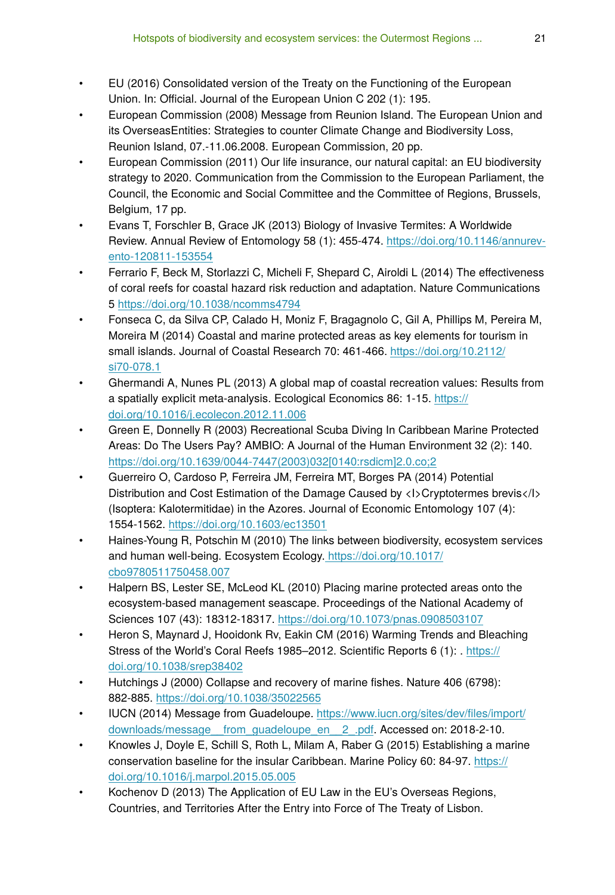- EU (2016) Consolidated version of the Treaty on the Functioning of the European Union. In: Official. Journal of the European Union C 202 (1): 195.
- European Commission (2008) Message from Reunion Island. The European Union and its OverseasEntities: Strategies to counter Climate Change and Biodiversity Loss, Reunion Island, 07.-11.06.2008. European Commission, 20 pp.
- European Commission (2011) Our life insurance, our natural capital: an EU biodiversity strategy to 2020. Communication from the Commission to the European Parliament, the Council, the Economic and Social Committee and the Committee of Regions, Brussels, Belgium, 17 pp.
- Evans T, Forschler B, Grace JK (2013) Biology of Invasive Termites: A Worldwide Review. Annual Review of Entomology 58 (1): 455‑474. [https://doi.org/10.1146/annurev](https://doi.org/10.1146/annurev-ento-120811-153554)[ento-120811-153554](https://doi.org/10.1146/annurev-ento-120811-153554)
- Ferrario F, Beck M, Storlazzi C, Micheli F, Shepard C, Airoldi L (2014) The effectiveness of coral reefs for coastal hazard risk reduction and adaptation. Nature Communications 5 <https://doi.org/10.1038/ncomms4794>
- Fonseca C, da Silva CP, Calado H, Moniz F, Bragagnolo C, Gil A, Phillips M, Pereira M, Moreira M (2014) Coastal and marine protected areas as key elements for tourism in small islands. Journal of Coastal Research 70: 461-466. [https://doi.org/10.2112/](https://doi.org/10.2112/si70-078.1) [si70-078.1](https://doi.org/10.2112/si70-078.1)
- Ghermandi A, Nunes PL (2013) A global map of coastal recreation values: Results from a spatially explicit meta-analysis. Ecological Economics 86: 1‑15. [https://](https://doi.org/10.1016/j.ecolecon.2012.11.006) [doi.org/10.1016/j.ecolecon.2012.11.006](https://doi.org/10.1016/j.ecolecon.2012.11.006)
- Green E, Donnelly R (2003) Recreational Scuba Diving In Caribbean Marine Protected Areas: Do The Users Pay? AMBIO: A Journal of the Human Environment 32 (2): 140. [https://doi.org/10.1639/0044-7447\(2003\)032\[0140:rsdicm\]2.0.co;2](https://doi.org/10.1639/0044-7447(2003)032%5B0140:rsdicm%5D2.0.co;2)
- Guerreiro O, Cardoso P, Ferreira JM, Ferreira MT, Borges PA (2014) Potential Distribution and Cost Estimation of the Damage Caused by <l>Cryptotermes brevis</l> (Isoptera: Kalotermitidae) in the Azores. Journal of Economic Entomology 107 (4): 1554‑1562.<https://doi.org/10.1603/ec13501>
- Haines-Young R, Potschin M (2010) The links between biodiversity, ecosystem services and human well-being. Ecosystem Ecology. [https://doi.org/10.1017/](https://doi.org/10.1017/cbo9780511750458.007) [cbo9780511750458.007](https://doi.org/10.1017/cbo9780511750458.007)
- Halpern BS, Lester SE, McLeod KL (2010) Placing marine protected areas onto the ecosystem-based management seascape. Proceedings of the National Academy of Sciences 107 (43): 18312‑18317.<https://doi.org/10.1073/pnas.0908503107>
- Heron S, Maynard J, Hooidonk Rv, Eakin CM (2016) Warming Trends and Bleaching Stress of the World's Coral Reefs 1985–2012. Scientific Reports 6 (1): . [https://](https://doi.org/10.1038/srep38402) [doi.org/10.1038/srep38402](https://doi.org/10.1038/srep38402)
- Hutchings J (2000) Collapse and recovery of marine fishes. Nature 406 (6798): 882‑885. <https://doi.org/10.1038/35022565>
- IUCN (2014) Message from Guadeloupe. [https://www.iucn.org/sites/dev/](https://www.iucn.org/sites/dev/files/import/downloads/message__from_guadeloupe_en__2_.pdf)files/import/ [downloads/message\\_\\_from\\_guadeloupe\\_en\\_\\_2\\_.pdf.](https://www.iucn.org/sites/dev/files/import/downloads/message__from_guadeloupe_en__2_.pdf) Accessed on: 2018-2-10.
- Knowles J, Doyle E, Schill S, Roth L, Milam A, Raber G (2015) Establishing a marine conservation baseline for the insular Caribbean. Marine Policy 60: 84‑97. [https://](https://doi.org/10.1016/j.marpol.2015.05.005) [doi.org/10.1016/j.marpol.2015.05.005](https://doi.org/10.1016/j.marpol.2015.05.005)
- Kochenov D (2013) The Application of EU Law in the EU's Overseas Regions, Countries, and Territories After the Entry into Force of The Treaty of Lisbon.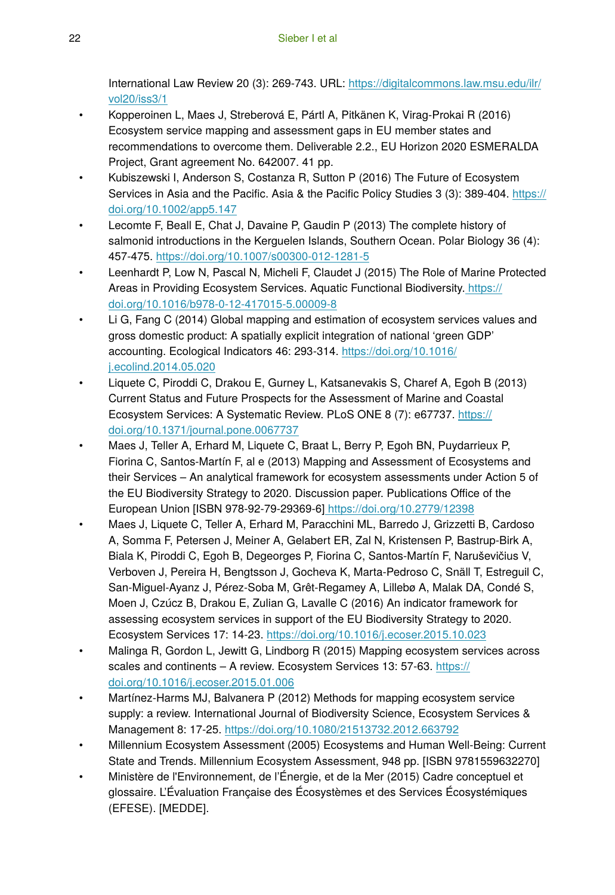International Law Review 20 (3): 269‑743. URL: [https://digitalcommons.law.msu.edu/ilr/](https://digitalcommons.law.msu.edu/ilr/vol20/iss3/1) [vol20/iss3/1](https://digitalcommons.law.msu.edu/ilr/vol20/iss3/1)

- Kopperoinen L, Maes J, Streberová E, Pártl A, Pitkänen K, Virag-Prokai R (2016) Ecosystem service mapping and assessment gaps in EU member states and recommendations to overcome them. Deliverable 2.2., EU Horizon 2020 ESMERALDA Project, Grant agreement No. 642007. 41 pp.
- Kubiszewski I, Anderson S, Costanza R, Sutton P (2016) The Future of Ecosystem Services in Asia and the Pacific. Asia & the Pacific Policy Studies 3 (3): 389-404. [https://](https://doi.org/10.1002/app5.147) [doi.org/10.1002/app5.147](https://doi.org/10.1002/app5.147)
- Lecomte F, Beall E, Chat J, Davaine P, Gaudin P (2013) The complete history of salmonid introductions in the Kerguelen Islands, Southern Ocean. Polar Biology 36 (4): 457‑475. <https://doi.org/10.1007/s00300-012-1281-5>
- Leenhardt P, Low N, Pascal N, Micheli F, Claudet J (2015) The Role of Marine Protected Areas in Providing Ecosystem Services. Aquatic Functional Biodiversity[. https://](https://doi.org/10.1016/b978-0-12-417015-5.00009-8) [doi.org/10.1016/b978-0-12-417015-5.00009-8](https://doi.org/10.1016/b978-0-12-417015-5.00009-8)
- Li G, Fang C (2014) Global mapping and estimation of ecosystem services values and gross domestic product: A spatially explicit integration of national 'green GDP' accounting. Ecological Indicators 46: 293‑314. [https://doi.org/10.1016/](https://doi.org/10.1016/j.ecolind.2014.05.020) [j.ecolind.2014.05.020](https://doi.org/10.1016/j.ecolind.2014.05.020)
- Liquete C, Piroddi C, Drakou E, Gurney L, Katsanevakis S, Charef A, Egoh B (2013) Current Status and Future Prospects for the Assessment of Marine and Coastal Ecosystem Services: A Systematic Review. PLoS ONE 8 (7): e67737. [https://](https://doi.org/10.1371/journal.pone.0067737) [doi.org/10.1371/journal.pone.0067737](https://doi.org/10.1371/journal.pone.0067737)
- Maes J, Teller A, Erhard M, Liquete C, Braat L, Berry P, Egoh BN, Puydarrieux P, Fiorina C, Santos-Martín F, al e (2013) Mapping and Assessment of Ecosystems and their Services – An analytical framework for ecosystem assessments under Action 5 of the EU Biodiversity Strategy to 2020. Discussion paper. Publications Office of the European Union [ISBN 978-92-79-29369-6]<https://doi.org/10.2779/12398>
- Maes J, Liquete C, Teller A, Erhard M, Paracchini ML, Barredo J, Grizzetti B, Cardoso A, Somma F, Petersen J, Meiner A, Gelabert ER, Zal N, Kristensen P, Bastrup-Birk A, Biala K, Piroddi C, Egoh B, Degeorges P, Fiorina C, Santos-Martín F, Naruševičius V, Verboven J, Pereira H, Bengtsson J, Gocheva K, Marta-Pedroso C, Snäll T, Estreguil C, San-Miguel-Ayanz J, Pérez-Soba M, Grêt-Regamey A, Lillebø A, Malak DA, Condé S, Moen J, Czúcz B, Drakou E, Zulian G, Lavalle C (2016) An indicator framework for assessing ecosystem services in support of the EU Biodiversity Strategy to 2020. Ecosystem Services 17: 14‑23. <https://doi.org/10.1016/j.ecoser.2015.10.023>
- Malinga R, Gordon L, Jewitt G, Lindborg R (2015) Mapping ecosystem services across scales and continents – A review. Ecosystem Services 13: 57-63. [https://](https://doi.org/10.1016/j.ecoser.2015.01.006) [doi.org/10.1016/j.ecoser.2015.01.006](https://doi.org/10.1016/j.ecoser.2015.01.006)
- Martínez-Harms MJ, Balvanera P (2012) Methods for mapping ecosystem service supply: a review. International Journal of Biodiversity Science, Ecosystem Services & Management 8: 17‑25. <https://doi.org/10.1080/21513732.2012.663792>
- Millennium Ecosystem Assessment (2005) Ecosystems and Human Well-Being: Current State and Trends. Millennium Ecosystem Assessment, 948 pp. [ISBN 9781559632270]
- Ministère de l'Environnement, de l'Énergie, et de la Mer (2015) Cadre conceptuel et glossaire. L'Évaluation Française des Écosystèmes et des Services Écosystémiques (EFESE). [MEDDE].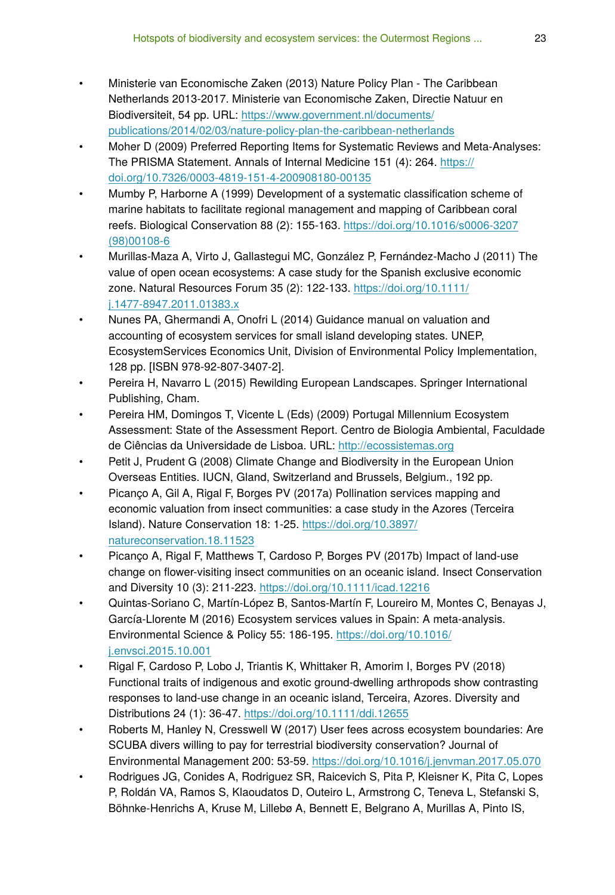- Ministerie van Economische Zaken (2013) Nature Policy Plan The Caribbean Netherlands 2013-2017. Ministerie van Economische Zaken, Directie Natuur en Biodiversiteit, 54 pp. URL: [https://www.government.nl/documents/](https://www.government.nl/documents/publications/2014/02/03/nature-policy-plan-the-caribbean-netherlands) [publications/2014/02/03/nature-policy-plan-the-caribbean-netherlands](https://www.government.nl/documents/publications/2014/02/03/nature-policy-plan-the-caribbean-netherlands)
- Moher D (2009) Preferred Reporting Items for Systematic Reviews and Meta-Analyses: The PRISMA Statement. Annals of Internal Medicine 151 (4): 264. [https://](https://doi.org/10.7326/0003-4819-151-4-200908180-00135) [doi.org/10.7326/0003-4819-151-4-200908180-00135](https://doi.org/10.7326/0003-4819-151-4-200908180-00135)
- Mumby P, Harborne A (1999) Development of a systematic classification scheme of marine habitats to facilitate regional management and mapping of Caribbean coral reefs. Biological Conservation 88 (2): 155‑163. [https://doi.org/10.1016/s0006-3207](https://doi.org/10.1016/s0006-3207(98)00108-6) [\(98\)00108-6](https://doi.org/10.1016/s0006-3207(98)00108-6)
- Murillas-Maza A, Virto J, Gallastegui MC, González P, Fernández-Macho J (2011) The value of open ocean ecosystems: A case study for the Spanish exclusive economic zone. Natural Resources Forum 35 (2): 122‑133. [https://doi.org/10.1111/](https://doi.org/10.1111/j.1477-8947.2011.01383.x) [j.1477-8947.2011.01383.x](https://doi.org/10.1111/j.1477-8947.2011.01383.x)
- Nunes PA, Ghermandi A, Onofri L (2014) Guidance manual on valuation and accounting of ecosystem services for small island developing states. UNEP, EcosystemServices Economics Unit, Division of Environmental Policy Implementation, 128 pp. [ISBN 978-92-807-3407-2].
- Pereira H, Navarro L (2015) Rewilding European Landscapes. Springer International Publishing, Cham.
- Pereira HM, Domingos T, Vicente L (Eds) (2009) Portugal Millennium Ecosystem Assessment: State of the Assessment Report. Centro de Biologia Ambiental, Faculdade de Ciências da Universidade de Lisboa. URL:<http://ecossistemas.org>
- Petit J, Prudent G (2008) Climate Change and Biodiversity in the European Union Overseas Entities. IUCN, Gland, Switzerland and Brussels, Belgium., 192 pp.
- Picanço A, Gil A, Rigal F, Borges PV (2017a) Pollination services mapping and economic valuation from insect communities: a case study in the Azores (Terceira Island). Nature Conservation 18: 1‑25. [https://doi.org/10.3897/](https://doi.org/10.3897/natureconservation.18.11523) [natureconservation.18.11523](https://doi.org/10.3897/natureconservation.18.11523)
- Picanço A, Rigal F, Matthews T, Cardoso P, Borges PV (2017b) Impact of land-use change on flower-visiting insect communities on an oceanic island. Insect Conservation and Diversity 10 (3): 211‑223.<https://doi.org/10.1111/icad.12216>
- Quintas-Soriano C, Martín-López B, Santos-Martín F, Loureiro M, Montes C, Benayas J, García-Llorente M (2016) Ecosystem services values in Spain: A meta-analysis. Environmental Science & Policy 55: 186‑195. [https://doi.org/10.1016/](https://doi.org/10.1016/j.envsci.2015.10.001) [j.envsci.2015.10.001](https://doi.org/10.1016/j.envsci.2015.10.001)
- Rigal F, Cardoso P, Lobo J, Triantis K, Whittaker R, Amorim I, Borges PV (2018) Functional traits of indigenous and exotic ground-dwelling arthropods show contrasting responses to land-use change in an oceanic island, Terceira, Azores. Diversity and Distributions 24 (1): 36‑47. <https://doi.org/10.1111/ddi.12655>
- Roberts M, Hanley N, Cresswell W (2017) User fees across ecosystem boundaries: Are SCUBA divers willing to pay for terrestrial biodiversity conservation? Journal of Environmental Management 200: 53‑59.<https://doi.org/10.1016/j.jenvman.2017.05.070>
- Rodrigues JG, Conides A, Rodriguez SR, Raicevich S, Pita P, Kleisner K, Pita C, Lopes P, Roldán VA, Ramos S, Klaoudatos D, Outeiro L, Armstrong C, Teneva L, Stefanski S, Böhnke-Henrichs A, Kruse M, Lillebø A, Bennett E, Belgrano A, Murillas A, Pinto IS,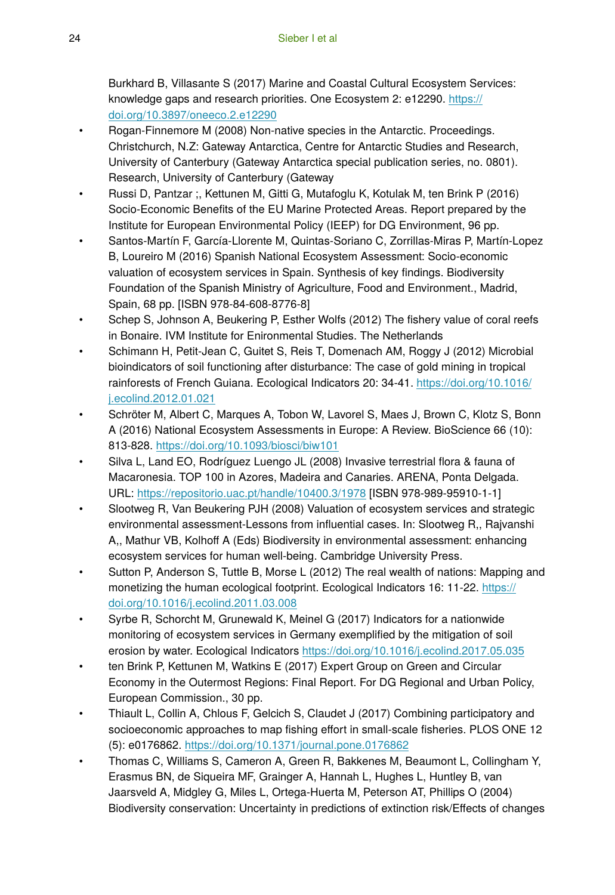Burkhard B, Villasante S (2017) Marine and Coastal Cultural Ecosystem Services: knowledge gaps and research priorities. One Ecosystem 2: e12290. [https://](https://doi.org/10.3897/oneeco.2.e12290) [doi.org/10.3897/oneeco.2.e12290](https://doi.org/10.3897/oneeco.2.e12290)

- Rogan-Finnemore M (2008) Non-native species in the Antarctic. Proceedings. Christchurch, N.Z: Gateway Antarctica, Centre for Antarctic Studies and Research, University of Canterbury (Gateway Antarctica special publication series, no. 0801). Research, University of Canterbury (Gateway
- Russi D, Pantzar ;, Kettunen M, Gitti G, Mutafoglu K, Kotulak M, ten Brink P (2016) Socio-Economic Benefits of the EU Marine Protected Areas. Report prepared by the Institute for European Environmental Policy (IEEP) for DG Environment, 96 pp.
- Santos-Martín F, García-Llorente M, Quintas-Soriano C, Zorrillas-Miras P, Martín-Lopez B, Loureiro M (2016) Spanish National Ecosystem Assessment: Socio-economic valuation of ecosystem services in Spain. Synthesis of key findings. Biodiversity Foundation of the Spanish Ministry of Agriculture, Food and Environment., Madrid, Spain, 68 pp. [ISBN 978-84-608-8776-8]
- Schep S, Johnson A, Beukering P, Esther Wolfs (2012) The fishery value of coral reefs in Bonaire. IVM Institute for Enironmental Studies. The Netherlands
- Schimann H, Petit-Jean C, Guitet S, Reis T, Domenach AM, Roggy J (2012) Microbial bioindicators of soil functioning after disturbance: The case of gold mining in tropical rainforests of French Guiana. Ecological Indicators 20: 34‑41. [https://doi.org/10.1016/](https://doi.org/10.1016/j.ecolind.2012.01.021) [j.ecolind.2012.01.021](https://doi.org/10.1016/j.ecolind.2012.01.021)
- Schröter M, Albert C, Marques A, Tobon W, Lavorel S, Maes J, Brown C, Klotz S, Bonn A (2016) National Ecosystem Assessments in Europe: A Review. BioScience 66 (10): 813‑828. <https://doi.org/10.1093/biosci/biw101>
- Silva L, Land EO, Rodríguez Luengo JL (2008) Invasive terrestrial flora & fauna of Macaronesia. TOP 100 in Azores, Madeira and Canaries. ARENA, Ponta Delgada. URL:<https://repositorio.uac.pt/handle/10400.3/1978> [ISBN 978-989-95910-1-1]
- Slootweg R, Van Beukering PJH (2008) Valuation of ecosystem services and strategic environmental assessment-Lessons from influential cases. In: Slootweg R,, Rajvanshi A,, Mathur VB, Kolhoff A (Eds) Biodiversity in environmental assessment: enhancing ecosystem services for human well-being. Cambridge University Press.
- Sutton P, Anderson S, Tuttle B, Morse L (2012) The real wealth of nations: Mapping and monetizing the human ecological footprint. Ecological Indicators 16: 11-22. [https://](https://doi.org/10.1016/j.ecolind.2011.03.008) [doi.org/10.1016/j.ecolind.2011.03.008](https://doi.org/10.1016/j.ecolind.2011.03.008)
- Syrbe R, Schorcht M, Grunewald K, Meinel G (2017) Indicators for a nationwide monitoring of ecosystem services in Germany exemplified by the mitigation of soil erosion by water. Ecological Indicators <https://doi.org/10.1016/j.ecolind.2017.05.035>
- ten Brink P, Kettunen M, Watkins E (2017) Expert Group on Green and Circular Economy in the Outermost Regions: Final Report. For DG Regional and Urban Policy, European Commission., 30 pp.
- Thiault L, Collin A, Chlous F, Gelcich S, Claudet J (2017) Combining participatory and socioeconomic approaches to map fishing effort in small-scale fisheries. PLOS ONE 12 (5): e0176862.<https://doi.org/10.1371/journal.pone.0176862>
- Thomas C, Williams S, Cameron A, Green R, Bakkenes M, Beaumont L, Collingham Y, Erasmus BN, de Siqueira MF, Grainger A, Hannah L, Hughes L, Huntley B, van Jaarsveld A, Midgley G, Miles L, Ortega-Huerta M, Peterson AT, Phillips O (2004) Biodiversity conservation: Uncertainty in predictions of extinction risk/Effects of changes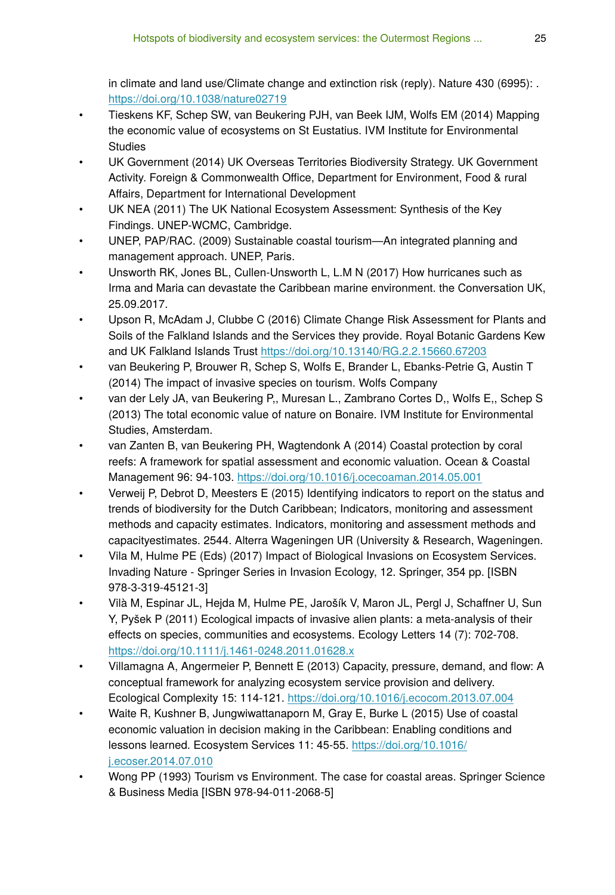in climate and land use/Climate change and extinction risk (reply). Nature 430 (6995): . <https://doi.org/10.1038/nature02719>

- Tieskens KF, Schep SW, van Beukering PJH, van Beek IJM, Wolfs EM (2014) Mapping the economic value of ecosystems on St Eustatius. IVM Institute for Environmental **Studies**
- UK Government (2014) UK Overseas Territories Biodiversity Strategy. UK Government Activity. Foreign & Commonwealth Office, Department for Environment, Food & rural Affairs, Department for International Development
- UK NEA (2011) The UK National Ecosystem Assessment: Synthesis of the Key Findings. UNEP-WCMC, Cambridge.
- UNEP, PAP/RAC. (2009) Sustainable coastal tourism—An integrated planning and management approach. UNEP, Paris.
- Unsworth RK, Jones BL, Cullen-Unsworth L, L.M N (2017) How hurricanes such as Irma and Maria can devastate the Caribbean marine environment. the Conversation UK, 25.09.2017.
- Upson R, McAdam J, Clubbe C (2016) Climate Change Risk Assessment for Plants and Soils of the Falkland Islands and the Services they provide. Royal Botanic Gardens Kew and UK Falkland Islands Trust<https://doi.org/10.13140/RG.2.2.15660.67203>
- van Beukering P, Brouwer R, Schep S, Wolfs E, Brander L, Ebanks-Petrie G, Austin T (2014) The impact of invasive species on tourism. Wolfs Company
- van der Lely JA, van Beukering P,, Muresan L., Zambrano Cortes D,, Wolfs E,, Schep S (2013) The total economic value of nature on Bonaire. IVM Institute for Environmental Studies, Amsterdam.
- van Zanten B, van Beukering PH, Wagtendonk A (2014) Coastal protection by coral reefs: A framework for spatial assessment and economic valuation. Ocean & Coastal Management 96: 94‑103.<https://doi.org/10.1016/j.ocecoaman.2014.05.001>
- Verweij P, Debrot D, Meesters E (2015) Identifying indicators to report on the status and trends of biodiversity for the Dutch Caribbean; Indicators, monitoring and assessment methods and capacity estimates. Indicators, monitoring and assessment methods and capacityestimates. 2544. Alterra Wageningen UR (University & Research, Wageningen.
- Vila M, Hulme PE (Eds) (2017) Impact of Biological Invasions on Ecosystem Services. Invading Nature - Springer Series in Invasion Ecology, 12. Springer, 354 pp. [ISBN 978-3-319-45121-3]
- Vilà M, Espinar JL, Hejda M, Hulme PE, Jarošík V, Maron JL, Pergl J, Schaffner U, Sun Y, Pyšek P (2011) Ecological impacts of invasive alien plants: a meta-analysis of their effects on species, communities and ecosystems. Ecology Letters 14 (7): 702-708. <https://doi.org/10.1111/j.1461-0248.2011.01628.x>
- Villamagna A, Angermeier P, Bennett E (2013) Capacity, pressure, demand, and flow: A conceptual framework for analyzing ecosystem service provision and delivery. Ecological Complexity 15: 114‑121. <https://doi.org/10.1016/j.ecocom.2013.07.004>
- Waite R, Kushner B, Jungwiwattanaporn M, Gray E, Burke L (2015) Use of coastal economic valuation in decision making in the Caribbean: Enabling conditions and lessons learned. Ecosystem Services 11: 45-55. [https://doi.org/10.1016/](https://doi.org/10.1016/j.ecoser.2014.07.010) [j.ecoser.2014.07.010](https://doi.org/10.1016/j.ecoser.2014.07.010)
- Wong PP (1993) Tourism vs Environment. The case for coastal areas. Springer Science & Business Media [ISBN 978-94-011-2068-5]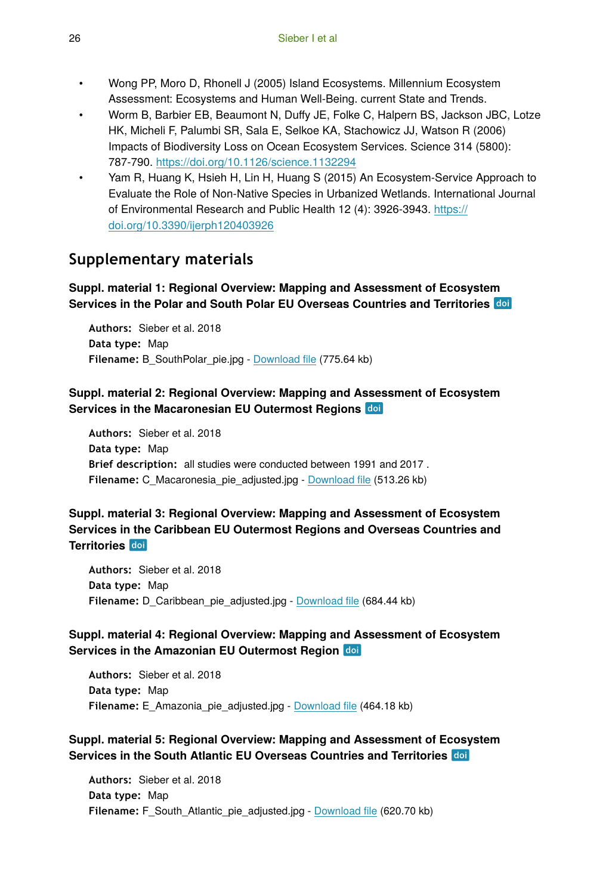- Wong PP, Moro D, Rhonell J (2005) Island Ecosystems. Millennium Ecosystem Assessment: Ecosystems and Human Well-Being. current State and Trends.
- Worm B, Barbier EB, Beaumont N, Duffy JE, Folke C, Halpern BS, Jackson JBC, Lotze HK, Micheli F, Palumbi SR, Sala E, Selkoe KA, Stachowicz JJ, Watson R (2006) Impacts of Biodiversity Loss on Ocean Ecosystem Services. Science 314 (5800): 787‑790. <https://doi.org/10.1126/science.1132294>
- Yam R, Huang K, Hsieh H, Lin H, Huang S (2015) An Ecosystem-Service Approach to Evaluate the Role of Non-Native Species in Urbanized Wetlands. International Journal of Environmental Research and Public Health 12 (4): 3926‑3943. [https://](https://doi.org/10.3390/ijerph120403926) [doi.org/10.3390/ijerph120403926](https://doi.org/10.3390/ijerph120403926)

# **Supplementary materials**

### **Suppl. material 1: Regional Overview: Mapping and Assessment of Ecosystem Services in the Polar and South Polar EU Overseas Countries and Territories**

**Authors:** Sieber et al. 2018 **Data type:** Map **Filename:** B\_SouthPolar\_pie.jpg - [Download](https://arpha.pensoft.net/getfile.php?filename=oo_201060.jpg) file (775.64 kb)

### **Suppl. material 2: Regional Overview: Mapping and Assessment of Ecosystem Services in the Macaronesian EU Outermost Regions**

**Authors:** Sieber et al. 2018 **Data type:** Map **Brief description:** all studies were conducted between 1991 and 2017 . **Filename:** C\_Macaronesia\_pie\_adjusted.jpg - [Download](https://arpha.pensoft.net/getfile.php?filename=oo_202790.jpg) file (513.26 kb)

## **Suppl. material 3: Regional Overview: Mapping and Assessment of Ecosystem Services in the Caribbean EU Outermost Regions and Overseas Countries and Territories**

**Authors:** Sieber et al. 2018 **Data type:** Map Filename: D\_Caribbean\_pie\_adjusted.jpg - **Download file** (684.44 kb)

### **Suppl. material 4: Regional Overview: Mapping and Assessment of Ecosystem Services in the Amazonian EU Outermost Region**

**Authors:** Sieber et al. 2018 **Data type:** Map **Filename:** E\_Amazonia\_pie\_adjusted.jpg - [Download](https://arpha.pensoft.net/getfile.php?filename=oo_202792.jpg) file (464.18 kb)

### **Suppl. material 5: Regional Overview: Mapping and Assessment of Ecosystem Services in the South Atlantic EU Overseas Countries and Territories**

**Authors:** Sieber et al. 2018 **Data type:** Map Filename: F\_South\_Atlantic\_pie\_adjusted.jpg - [Download](https://arpha.pensoft.net/getfile.php?filename=oo_202793.jpg) file (620.70 kb)